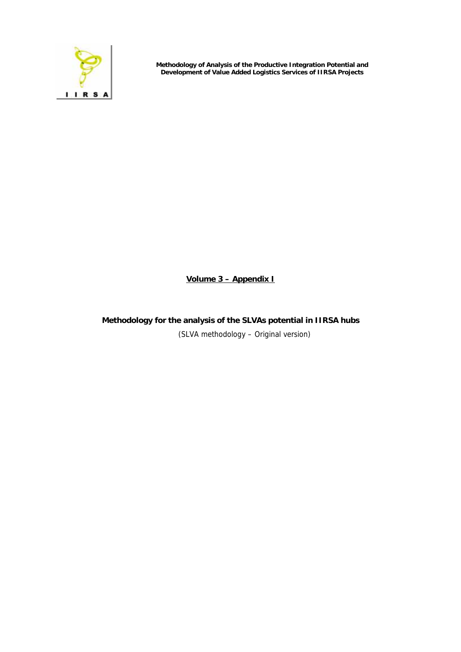

**Methodology of Analysis of the Productive Integration Potential and Development of Value Added Logistics Services of IIRSA Projects** 

**Volume 3 – Appendix I**

**Methodology for the analysis of the SLVAs potential in IIRSA hubs**  (SLVA methodology – Original version)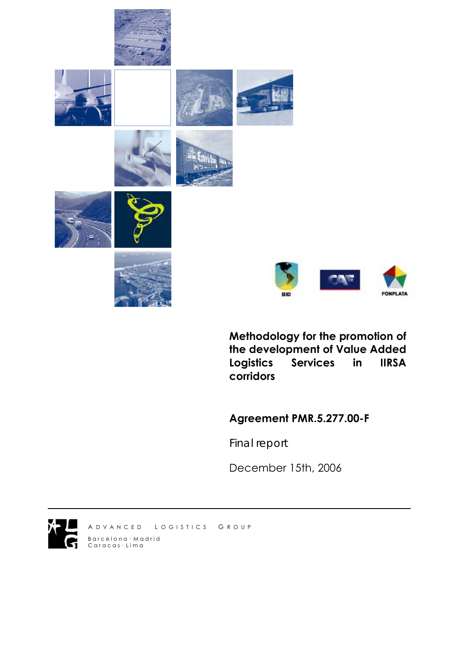



**Methodology for the promotion of the development of Value Added Logistics Services in IIRSA corridors** 

**Agreement PMR.5.277.00-F** 

*Final report* 

December 15th, 2006



A D V A N C E D L O G I S T I C S G R O U P B a r c e l o n a · M a d r i d C ar a c a s · L i m a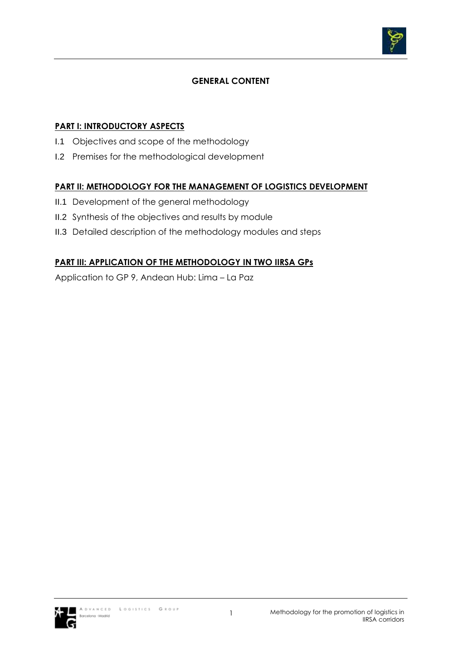

# **GENERAL CONTENT**

## **PART I: INTRODUCTORY ASPECTS**

- I.1 Objectives and scope of the methodology
- I.2 Premises for the methodological development

# **PART II: METHODOLOGY FOR THE MANAGEMENT OF LOGISTICS DEVELOPMENT**

- II.1 Development of the general methodology
- II.2 Synthesis of the objectives and results by module
- II.3 Detailed description of the methodology modules and steps

# **PART III: APPLICATION OF THE METHODOLOGY IN TWO IIRSA GPs**

Application to GP 9, Andean Hub: Lima – La Paz

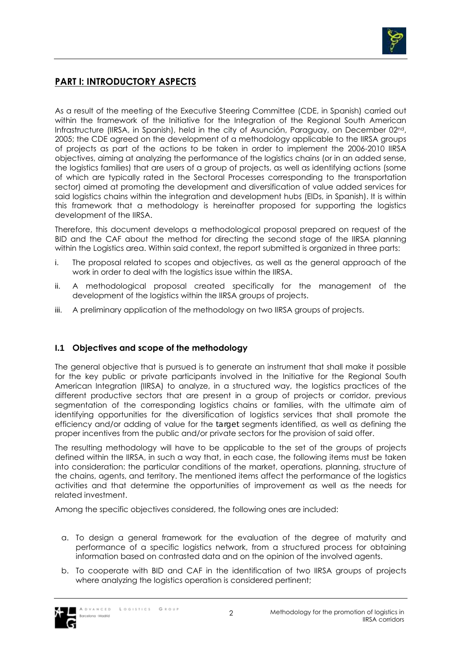

# **PART I: INTRODUCTORY ASPECTS**

As a result of the meeting of the Executive Steering Committee (CDE, in Spanish) carried out within the framework of the Initiative for the Integration of the Regional South American Infrastructure (IIRSA, in Spanish), held in the city of Asunción, Paraguay, on December 02<sup>nd</sup>, 2005; the CDE agreed on the development of a methodology applicable to the IIRSA groups of projects as part of the actions to be taken in order to implement the 2006-2010 IIRSA objectives, aiming at analyzing the performance of the logistics chains (or in an added sense, the logistics families) that are users of a group of projects, as well as identifying actions (some of which are typically rated in the Sectoral Processes corresponding to the transportation sector) aimed at promoting the development and diversification of value added services for said logistics chains within the integration and development hubs (EIDs, in Spanish). It is within this framework that a methodology is hereinafter proposed for supporting the logistics development of the IIRSA.

Therefore, this document develops a methodological proposal prepared on request of the BID and the CAF about the method for directing the second stage of the IIRSA planning within the Logistics area. Within said context, the report submitted is organized in three parts:

- i. The proposal related to scopes and objectives, as well as the general approach of the work in order to deal with the logistics issue within the IIRSA.
- ii. A methodological proposal created specifically for the management of the development of the logistics within the IIRSA groups of projects.
- iii. A preliminary application of the methodology on two IIRSA groups of projects.

### **I.1 Objectives and scope of the methodology**

The general objective that is pursued is to generate an instrument that shall make it possible for the key public or private participants involved in the Initiative for the Regional South American Integration (IIRSA) to analyze, in a structured way, the logistics practices of the different productive sectors that are present in a group of projects or corridor, previous segmentation of the corresponding logistics chains or families, with the ultimate aim of identifying opportunities for the diversification of logistics services that shall promote the efficiency and/or adding of value for the *target* segments identified, as well as defining the proper incentives from the public and/or private sectors for the provision of said offer.

The resulting methodology will have to be applicable to the set of the groups of projects defined within the IIRSA, in such a way that, in each case, the following items must be taken into consideration: the particular conditions of the market, operations, planning, structure of the chains, agents, and territory. The mentioned items affect the performance of the logistics activities and that determine the opportunities of improvement as well as the needs for related investment.

Among the specific objectives considered, the following ones are included:

- a. To design a general framework for the evaluation of the degree of maturity and performance of a specific logistics network, from a structured process for obtaining information based on contrasted data and on the opinion of the involved agents.
- b. To cooperate with BID and CAF in the identification of two IIRSA groups of projects where analyzing the logistics operation is considered pertinent;

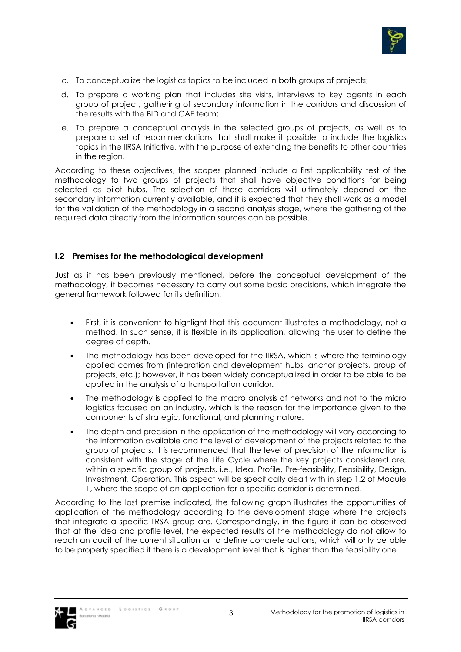

- c. To conceptualize the logistics topics to be included in both groups of projects;
- d. To prepare a working plan that includes site visits, interviews to key agents in each group of project, gathering of secondary information in the corridors and discussion of the results with the BID and CAF team;
- e. To prepare a conceptual analysis in the selected groups of projects, as well as to prepare a set of recommendations that shall make it possible to include the logistics topics in the IIRSA Initiative, with the purpose of extending the benefits to other countries in the region.

According to these objectives, the scopes planned include a first applicability test of the methodology to two groups of projects that shall have objective conditions for being selected as pilot hubs. The selection of these corridors will ultimately depend on the secondary information currently available, and it is expected that they shall work as a model for the validation of the methodology in a second analysis stage, where the gathering of the required data directly from the information sources can be possible.

## **I.2 Premises for the methodological development**

Just as it has been previously mentioned, before the conceptual development of the methodology, it becomes necessary to carry out some basic precisions, which integrate the general framework followed for its definition:

- First, it is convenient to highlight that this document illustrates a methodology, not a method. In such sense, it is flexible in its application, allowing the user to define the degree of depth.
- The methodology has been developed for the IIRSA, which is where the terminology applied comes from (integration and development hubs, anchor projects, group of projects, etc.); however, it has been widely conceptualized in order to be able to be applied in the analysis of a transportation corridor.
- The methodology is applied to the macro analysis of networks and not to the micro logistics focused on an industry, which is the reason for the importance given to the components of strategic, functional, and planning nature.
- The depth and precision in the application of the methodology will vary according to the information available and the level of development of the projects related to the group of projects. It is recommended that the level of precision of the information is consistent with the stage of the Life Cycle where the key projects considered are, within a specific group of projects, i.e., Idea, Profile, Pre-feasibility, Feasibility, Design, Investment, Operation. This aspect will be specifically dealt with in step 1.2 of Module 1, where the scope of an application for a specific corridor is determined.

According to the last premise indicated, the following graph illustrates the opportunities of application of the methodology according to the development stage where the projects that integrate a specific IIRSA group are. Correspondingly, in the figure it can be observed that at the idea and profile level, the expected results of the methodology do not allow to reach an audit of the current situation or to define concrete actions, which will only be able to be properly specified if there is a development level that is higher than the feasibility one.

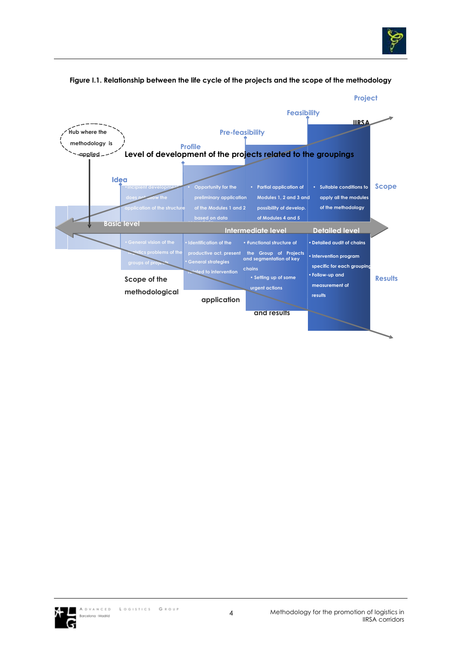



#### **Figure I.1. Relationship between the life cycle of the projects and the scope of the methodology**

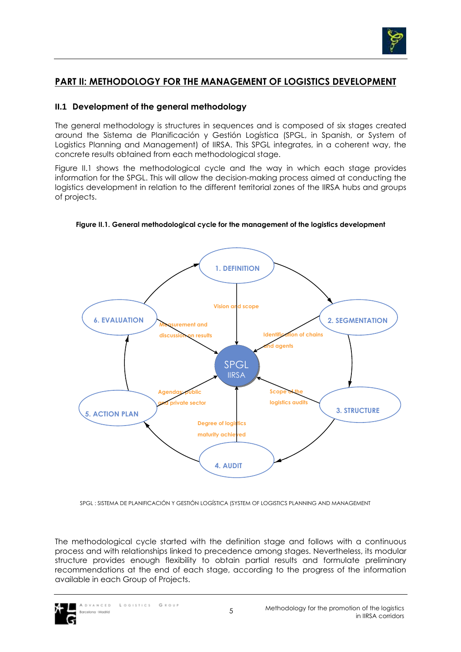

# **PART II: METHODOLOGY FOR THE MANAGEMENT OF LOGISTICS DEVELOPMENT**

### **II.1 Development of the general methodology**

The general methodology is structures in sequences and is composed of six stages created around the Sistema de Planificación y Gestión Logística (SPGL, in Spanish, or System of Logistics Planning and Management) of IIRSA. This SPGL integrates, in a coherent way, the concrete results obtained from each methodological stage.

Figure II.1 shows the methodological cycle and the way in which each stage provides information for the SPGL. This will allow the decision-making process aimed at conducting the logistics development in relation to the different territorial zones of the IIRSA hubs and groups of projects.



**Figure II.1. General methodological cycle for the management of the logistics development** 

SPGL : SISTEMA DE PLANIFICACIÓN Y GESTIÓN LOGÍSTICA (SYSTEM OF LOGISTICS PLANNING AND MANAGEMENT

The methodological cycle started with the definition stage and follows with a continuous process and with relationships linked to precedence among stages. Nevertheless, its modular structure provides enough flexibility to obtain partial results and formulate preliminary recommendations at the end of each stage, according to the progress of the information available in each Group of Projects.

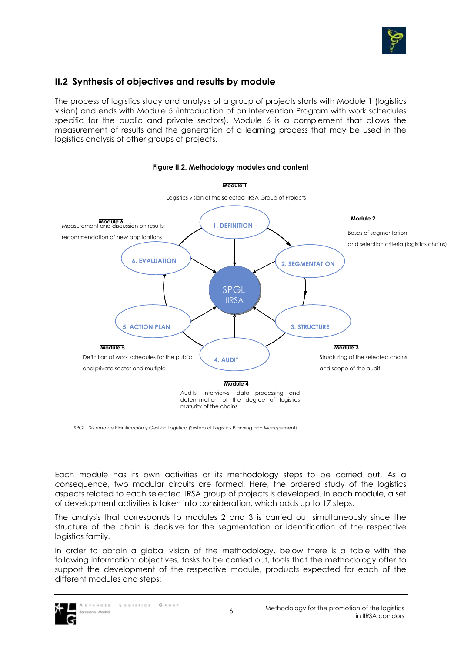

# **II.2 Synthesis of objectives and results by module**

The process of logistics study and analysis of a group of projects starts with Module 1 (logistics vision) and ends with Module 5 (introduction of an Intervention Program with work schedules specific for the public and private sectors). Module 6 is a complement that allows the measurement of results and the generation of a learning process that may be used in the logistics analysis of other groups of projects.



#### **Figure II.2. Methodology modules and content**

SPGL: Sistema de Planificación y Gestión Logística (System of Logistics Planning and Management)

Each module has its own activities or its methodology steps to be carried out. As a consequence, two modular circuits are formed. Here, the ordered study of the logistics aspects related to each selected IIRSA group of projects is developed. In each module, a set of development activities is taken into consideration, which adds up to 17 steps.

The analysis that corresponds to modules 2 and 3 is carried out simultaneously since the structure of the chain is decisive for the segmentation or identification of the respective logistics family.

In order to obtain a global vision of the methodology, below there is a table with the following information: objectives, tasks to be carried out, tools that the methodology offer to support the development of the respective module, products expected for each of the different modules and steps:

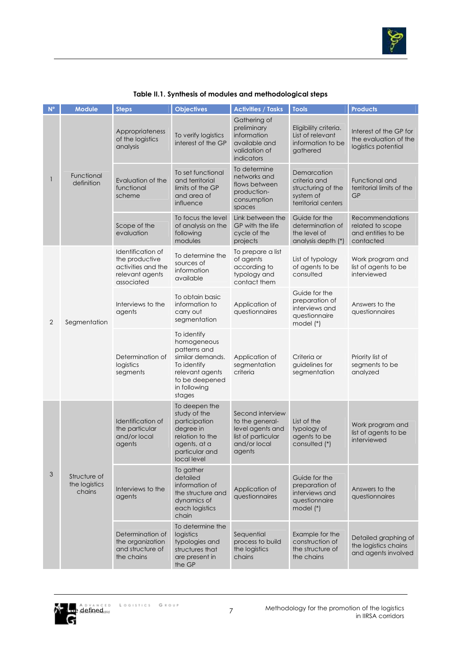

| $N^{\circ}$ | <b>Module</b>                           | <b>Steps</b>                                                                               | <b>Objectives</b>                                                                                                                            | <b>Activities / Tasks</b>                                                                                           | <b>Tools</b>                                                                          | <b>Products</b>                                                                                                                                                    |
|-------------|-----------------------------------------|--------------------------------------------------------------------------------------------|----------------------------------------------------------------------------------------------------------------------------------------------|---------------------------------------------------------------------------------------------------------------------|---------------------------------------------------------------------------------------|--------------------------------------------------------------------------------------------------------------------------------------------------------------------|
| 1           | Functional<br>definition                | Appropriateness<br>of the logistics<br>analysis                                            | To verify logistics<br>interest of the GP                                                                                                    | Gathering of<br>preliminary<br>information<br>available and<br>validation of<br>indicators                          | Eligibility criteria.<br>List of relevant<br>information to be<br>gathered            | Interest of the GP for<br>the evaluation of the<br>logistics potential                                                                                             |
|             |                                         | Evaluation of the<br>functional<br>scheme                                                  | To set functional<br>and territorial<br>limits of the GP<br>and area of<br>influence                                                         | To determine<br>networks and<br>flows between<br>production-<br>consumption<br>spaces                               | Demarcation<br>criteria and<br>structuring of the<br>system of<br>territorial centers | Functional and<br>territorial limits of the<br><b>GP</b>                                                                                                           |
|             |                                         | Scope of the<br>evaluation                                                                 | To focus the level<br>of analysis on the<br>following<br>modules                                                                             | Link between the<br>GP with the life<br>cycle of the<br>projects                                                    | Guide for the<br>determination of<br>the level of<br>analysis depth (*)               | Recommendations<br>related to scope<br>and entities to be<br>contacted                                                                                             |
| 2           |                                         | Identification of<br>the productive<br>activities and the<br>relevant agents<br>associated | To determine the<br>sources of<br>information<br>available                                                                                   | To prepare a list<br>of agents<br>according to<br>typology and<br>contact them                                      | List of typology<br>of agents to be<br>consulted                                      | Work program and<br>list of agents to be<br>interviewed                                                                                                            |
|             | Segmentation                            | Interviews to the<br>agents                                                                | To obtain basic<br>information to<br>carry out<br>segmentation                                                                               | Guide for the<br>preparation of<br>Application of<br>interviews and<br>questionnaires<br>questionnaire<br>model (*) | Answers to the<br>questionnaires                                                      |                                                                                                                                                                    |
|             |                                         | Determination of<br>logistics<br>segments                                                  | To identify<br>homogeneous<br>patterns and<br>similar demands.<br>To identify<br>relevant agents<br>to be deepened<br>in following<br>stages | Application of<br>segmentation<br>criteria                                                                          | Criteria or<br>guidelines for<br>segmentation                                         | Priority list of<br>segments to be<br>analyzed                                                                                                                     |
| 3           |                                         | Identification of<br>the particular<br>and/or local<br>agents                              | To deepen the<br>study of the<br>participation<br>degree in<br>relation to the<br>agents, at a<br>particular and<br>local level              | Second interview<br>to the general-<br>level agents and<br>list of particular<br>and/or local<br>agents             | List of the<br>typology of<br>agents to be<br>consulted (*)                           | Work program and<br>list of agents to be<br>interviewed<br>Answers to the<br>questionnaires<br>Detailed graphing of<br>the logistics chains<br>and agents involved |
|             | Structure of<br>the logistics<br>chains | Interviews to the<br>agents                                                                | To gather<br>detailed<br>information of<br>the structure and<br>dynamics of<br>each logistics<br>chain                                       | Application of<br>questionnaires                                                                                    | Guide for the<br>preparation of<br>interviews and<br>questionnaire<br>model (*)       |                                                                                                                                                                    |
|             |                                         | Determination of<br>the organization<br>and structure of<br>the chains                     | To determine the<br>logistics<br>typologies and<br>structures that<br>are present in<br>the GP                                               | Sequential<br>process to build<br>the logistics<br>chains                                                           | Example for the<br>construction of<br>the structure of<br>the chains                  |                                                                                                                                                                    |

#### **Table II.1. Synthesis of modules and methodological steps**

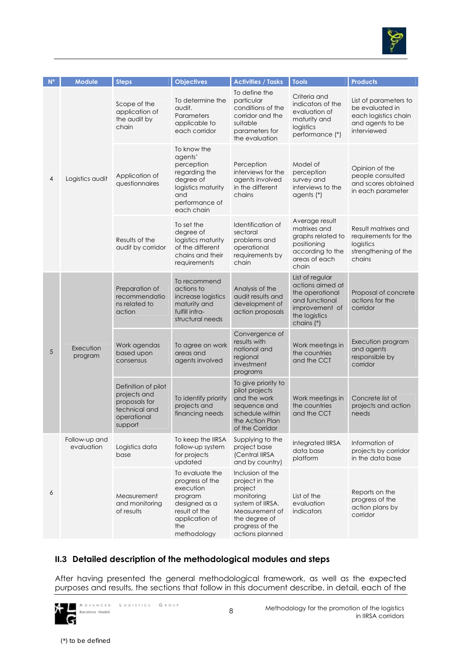

| N <sup>o</sup> | <b>Module</b>               | <b>Steps</b>                                                                                    | <b>Objectives</b>                                                                                                                    | <b>Activities / Tasks</b>                                                                                                                                | <b>Tools</b>                                                                                                              | <b>Products</b>                                                                                     |
|----------------|-----------------------------|-------------------------------------------------------------------------------------------------|--------------------------------------------------------------------------------------------------------------------------------------|----------------------------------------------------------------------------------------------------------------------------------------------------------|---------------------------------------------------------------------------------------------------------------------------|-----------------------------------------------------------------------------------------------------|
| 4              | Logistics audit             | Scope of the<br>application of<br>the audit by<br>chain                                         | To determine the<br>audit.<br>Parameters<br>applicable to<br>each corridor                                                           | To define the<br>particular<br>conditions of the<br>corridor and the<br>suitable<br>parameters for<br>the evaluation                                     | Criteria and<br>indicators of the<br>evaluation of<br>maturity and<br>logistics<br>performance (*)                        | List of parameters to<br>be evaluated in<br>each logistics chain<br>and agents to be<br>interviewed |
|                |                             | Application of<br>questionnaires                                                                | To know the<br>agents'<br>perception<br>regarding the<br>degree of<br>logistics maturity<br>and<br>performance of<br>each chain      | Perception<br>interviews for the<br>agents involved<br>in the different<br>chains                                                                        | Model of<br>perception<br>survey and<br>interviews to the<br>agents (*)                                                   | Opinion of the<br>people consulted<br>and scores obtained<br>in each parameter                      |
|                |                             | Results of the<br>audit by corridor                                                             | To set the<br>degree of<br>logistics maturity<br>of the different<br>chains and their<br>requirements                                | Identification of<br>sectoral<br>problems and<br>operational<br>requirements by<br>chain                                                                 | Average result<br>matrixes and<br>graphs related to<br>positioning<br>according to the<br>areas of each<br>chain          | Result matrixes and<br>requirements for the<br>logistics<br>strengthening of the<br>chains          |
| 5              | Execution<br>program        | Preparation of<br>recommendatio<br>ns related to<br>action                                      | To recommend<br>actions to<br>increase logistics<br>maturity and<br>fulfill infra-<br>structural needs                               | Analysis of the<br>audit results and<br>development of<br>action proposals                                                                               | List of regular<br>actions aimed at<br>the operational<br>and functional<br>improvement of<br>the logistics<br>chains (*) | Proposal of concrete<br>actions for the<br>corridor                                                 |
|                |                             | Work agendas<br>based upon<br>consensus                                                         | To agree on work<br>areas and<br>agents involved                                                                                     | Convergence of<br>results with<br>national and<br>regional<br>investment<br>programs                                                                     | Work meetings in<br>the countries<br>and the CCT                                                                          | Execution program<br>and agents<br>responsible by<br>corridor                                       |
|                |                             | Definition of pilot<br>projects and<br>proposals for<br>technical and<br>operational<br>support | To identify priority<br>projects and<br>financing needs                                                                              | To give priority to<br>pilot projects<br>and the work<br>sequence and<br>schedule within<br>the Action Plan<br>of the Corridor                           | Work meetings in<br>the countries<br>and the CCT                                                                          | Concrete list of<br>projects and action<br>needs                                                    |
| 6              | Follow-up and<br>evaluation | Logistics data<br>base                                                                          | To keep the IIRSA<br>follow-up system<br>for projects<br>updated                                                                     | Supplying to the<br>project base<br>(Central IIRSA<br>and by country)                                                                                    | Integrated IIRSA<br>data base<br>platform                                                                                 | Information of<br>projects by corridor<br>in the data base                                          |
|                |                             | Measurement<br>and monitoring<br>of results                                                     | To evaluate the<br>progress of the<br>execution<br>program<br>designed as a<br>result of the<br>application of<br>the<br>methodology | Inclusion of the<br>project in the<br>project<br>monitoring<br>system of IIRSA.<br>Measurement of<br>the degree of<br>progress of the<br>actions planned | List of the<br>evaluation<br>indicators                                                                                   | Reports on the<br>progress of the<br>action plans by<br>corridor                                    |

## **II.3 Detailed description of the methodological modules and steps**

After having presented the general methodological framework, as well as the expected purposes and results, the sections that follow in this document describe, in detail, each of the

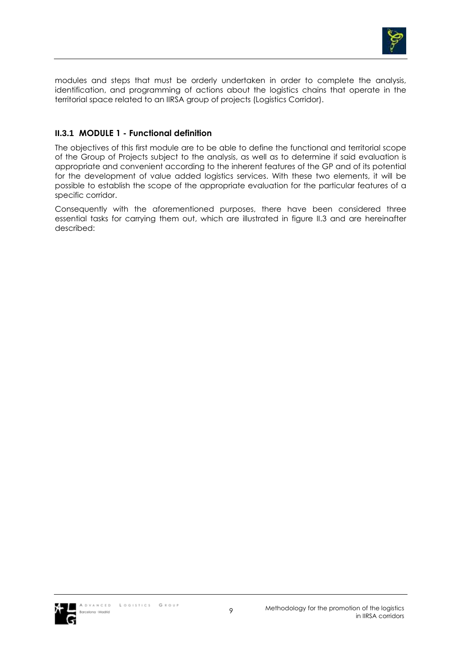

modules and steps that must be orderly undertaken in order to complete the analysis, identification, and programming of actions about the logistics chains that operate in the territorial space related to an IIRSA group of projects (Logistics Corridor).

### **II.3.1 MODULE 1 - Functional definition**

The objectives of this first module are to be able to define the functional and territorial scope of the Group of Projects subject to the analysis, as well as to determine if said evaluation is appropriate and convenient according to the inherent features of the GP and of its potential for the development of value added logistics services. With these two elements, it will be possible to establish the scope of the appropriate evaluation for the particular features of a specific corridor.

Consequently with the aforementioned purposes, there have been considered three essential tasks for carrying them out, which are illustrated in figure II.3 and are hereinafter described:

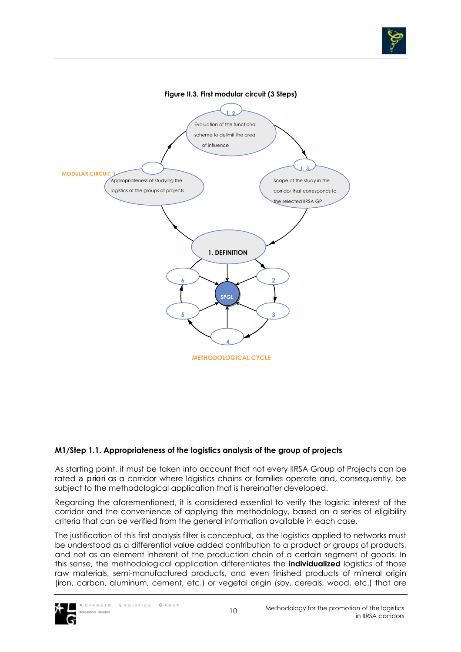



### **M1/Step 1.1. Appropriateness of the logistics analysis of the group of projects**

As starting point, it must be taken into account that not every IIRSA Group of Projects can be rated *a priori* as a corridor where logistics chains or families operate and, consequently, be subject to the methodological application that is hereinafter developed.

Regarding the aforementioned, it is considered essential to verify the logistic interest of the corridor and the convenience of applying the methodology, based on a series of eligibility criteria that can be verified from the general information available in each case.

The justification of this first analysis filter is conceptual, as the logistics applied to networks must be understood as a differential value added contribution to a product or groups of products, and not as an element inherent of the production chain of a certain segment of goods. In this sense, the methodological application differentiates the **individualized** logistics of those raw materials, semi-manufactured products, and even finished products of mineral origin (iron, carbon, aluminum, cement, etc.) or vegetal origin (soy, cereals, wood, etc.) that are

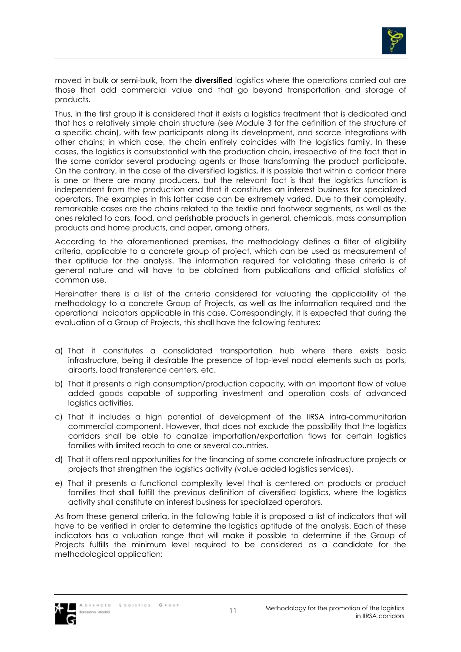

moved in bulk or semi-bulk, from the **diversified** logistics where the operations carried out are those that add commercial value and that go beyond transportation and storage of products.

Thus, in the first group it is considered that it exists a logistics treatment that is dedicated and that has a relatively simple chain structure (see Module 3 for the definition of the structure of a specific chain), with few participants along its development, and scarce integrations with other chains; in which case, the chain entirely coincides with the logistics family. In these cases, the logistics is consubstantial with the production chain, irrespective of the fact that in the same corridor several producing agents or those transforming the product participate. On the contrary, in the case of the diversified logistics, it is possible that within a corridor there is one or there are many producers, but the relevant fact is that the logistics function is independent from the production and that it constitutes an interest business for specialized operators. The examples in this latter case can be extremely varied. Due to their complexity, remarkable cases are the chains related to the textile and footwear segments, as well as the ones related to cars, food, and perishable products in general, chemicals, mass consumption products and home products, and paper, among others.

According to the aforementioned premises, the methodology defines a filter of eligibility criteria, applicable to a concrete group of project, which can be used as measurement of their aptitude for the analysis. The information required for validating these criteria is of general nature and will have to be obtained from publications and official statistics of common use.

Hereinafter there is a list of the criteria considered for valuating the applicability of the methodology to a concrete Group of Projects, as well as the information required and the operational indicators applicable in this case. Correspondingly, it is expected that during the evaluation of a Group of Projects, this shall have the following features:

- a) That it constitutes a consolidated transportation hub where there exists basic infrastructure, being it desirable the presence of top-level nodal elements such as ports, airports, load transference centers, etc.
- b) That it presents a high consumption/production capacity, with an important flow of value added goods capable of supporting investment and operation costs of advanced logistics activities.
- c) That it includes a high potential of development of the IIRSA intra-communitarian commercial component. However, that does not exclude the possibility that the logistics corridors shall be able to canalize importation/exportation flows for certain logistics families with limited reach to one or several countries.
- d) That it offers real opportunities for the financing of some concrete infrastructure projects or projects that strengthen the logistics activity (value added logistics services).
- e) That it presents a functional complexity level that is centered on products or product families that shall fulfill the previous definition of diversified logistics, where the logistics activity shall constitute an interest business for specialized operators.

As from these general criteria, in the following table it is proposed a list of indicators that will have to be verified in order to determine the logistics aptitude of the analysis. Each of these indicators has a valuation range that will make it possible to determine if the Group of Projects fulfills the minimum level required to be considered as a candidate for the methodological application:

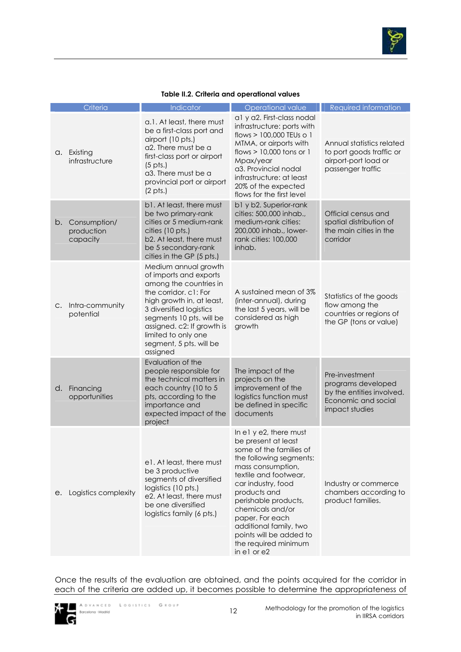

| Table II.2. Criteria and operational values |  |
|---------------------------------------------|--|
|---------------------------------------------|--|

|    | Criteria                                  | Indicator                                                                                                                                                                                                                                                                         | Operational value                                                                                                                                                                                                                                                                                                                                  | Required information                                                                                       |
|----|-------------------------------------------|-----------------------------------------------------------------------------------------------------------------------------------------------------------------------------------------------------------------------------------------------------------------------------------|----------------------------------------------------------------------------------------------------------------------------------------------------------------------------------------------------------------------------------------------------------------------------------------------------------------------------------------------------|------------------------------------------------------------------------------------------------------------|
|    | a. Existing<br>infrastructure             | a.1. At least, there must<br>be a first-class port and<br>airport (10 pts.)<br>a2. There must be a<br>first-class port or airport<br>$(5 \text{ pts.})$<br>a3. There must be a<br>provincial port or airport<br>$(2 \text{ pts.})$                                                | al y a2. First-class nodal<br>infrastructure: ports with<br>flows > 100,000 TEUs o 1<br>MTMA, or airports with<br>flows $> 10,000$ tons or 1<br>Mpax/year<br>a3. Provincial nodal<br>infrastructure: at least<br>20% of the expected<br>flows for the first level                                                                                  | Annual statistics related<br>to port goods traffic or<br>airport-port load or<br>passenger traffic         |
|    | b. Consumption/<br>production<br>capacity | b1. At least, there must<br>be two primary-rank<br>cities or 5 medium-rank<br>cities (10 pts.)<br>b2. At least, there must<br>be 5 secondary-rank<br>cities in the GP (5 pts.)                                                                                                    | b1 y b2. Superior-rank<br>cities: 500,000 inhab.,<br>medium-rank cities:<br>200,000 inhab., lower-<br>rank cities: 100,000<br>inhab.                                                                                                                                                                                                               | Official census and<br>spatial distribution of<br>the main cities in the<br>corridor                       |
|    | c. Intra-community<br>potential           | Medium annual growth<br>of imports and exports<br>among the countries in<br>the corridor. c1: For<br>high growth in, at least,<br>3 diversified logistics<br>segments 10 pts. will be<br>assigned. c2: If growth is<br>limited to only one<br>segment, 5 pts. will be<br>assigned | A sustained mean of 3%<br>(inter-annual), during<br>the last 5 years, will be<br>considered as high<br>growth                                                                                                                                                                                                                                      | Statistics of the goods<br>flow among the<br>countries or regions of<br>the GP (tons or value)             |
|    | d. Financing<br>opportunities             | Evaluation of the<br>people responsible for<br>the technical matters in<br>each country (10 to 5<br>pts, according to the<br>importance and<br>expected impact of the<br>project                                                                                                  | The impact of the<br>projects on the<br>improvement of the<br>logistics function must<br>be defined in specific<br>documents                                                                                                                                                                                                                       | Pre-investment<br>programs developed<br>by the entities involved.<br>Economic and social<br>impact studies |
| е. | Logistics complexity                      | e1. At least, there must<br>be 3 productive<br>segments of diversified<br>logistics (10 pts.)<br>e2. At least, there must<br>be one diversified<br>logistics family (6 pts.)                                                                                                      | In e1 y e2, there must<br>be present at least<br>some of the families of<br>the following segments:<br>mass consumption,<br>textile and footwear,<br>car industry, food<br>products and<br>perishable products,<br>chemicals and/or<br>paper. For each<br>additional family, two<br>points will be added to<br>the required minimum<br>in e1 or e2 | Industry or commerce<br>chambers according to<br>product families.                                         |

Once the results of the evaluation are obtained, and the points acquired for the corridor in each of the criteria are added up, it becomes possible to determine the appropriateness of

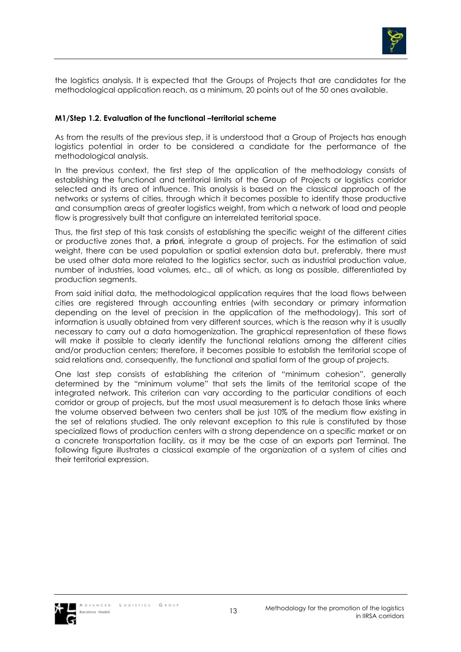

the logistics analysis. It is expected that the Groups of Projects that are candidates for the methodological application reach, as a minimum, 20 points out of the 50 ones available.

### **M1/Step 1.2. Evaluation of the functional –territorial scheme**

As from the results of the previous step, it is understood that a Group of Projects has enough logistics potential in order to be considered a candidate for the performance of the methodological analysis.

In the previous context, the first step of the application of the methodology consists of establishing the functional and territorial limits of the Group of Projects or logistics corridor selected and its area of influence. This analysis is based on the classical approach of the networks or systems of cities, through which it becomes possible to identify those productive and consumption areas of greater logistics weight, from which a network of load and people flow is progressively built that configure an interrelated territorial space.

Thus, the first step of this task consists of establishing the specific weight of the different cities or productive zones that, *a priori*, integrate a group of projects. For the estimation of said weight, there can be used population or spatial extension data but, preferably, there must be used other data more related to the logistics sector, such as industrial production value, number of industries, load volumes, etc., all of which, as long as possible, differentiated by production segments.

From said initial data, the methodological application requires that the load flows between cities are registered through accounting entries (with secondary or primary information depending on the level of precision in the application of the methodology). This sort of information is usually obtained from very different sources, which is the reason why it is usually necessary to carry out a data homogenization. The graphical representation of these flows will make it possible to clearly identify the functional relations among the different cities and/or production centers; therefore, it becomes possible to establish the territorial scope of said relations and, consequently, the functional and spatial form of the group of projects.

One last step consists of establishing the criterion of "minimum cohesion", generally determined by the "minimum volume" that sets the limits of the territorial scope of the integrated network. This criterion can vary according to the particular conditions of each corridor or group of projects, but the most usual measurement is to detach those links where the volume observed between two centers shall be just 10% of the medium flow existing in the set of relations studied. The only relevant exception to this rule is constituted by those specialized flows of production centers with a strong dependence on a specific market or on a concrete transportation facility, as it may be the case of an exports port Terminal. The following figure illustrates a classical example of the organization of a system of cities and their territorial expression.

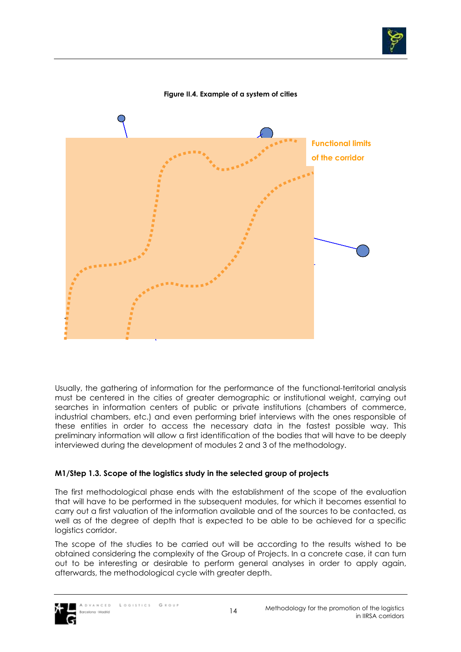



#### **Figure II.4. Example of a system of cities**

Usually, the gathering of information for the performance of the functional-territorial analysis must be centered in the cities of greater demographic or institutional weight, carrying out searches in information centers of public or private institutions (chambers of commerce, industrial chambers, etc.) and even performing brief interviews with the ones responsible of these entities in order to access the necessary data in the fastest possible way. This preliminary information will allow a first identification of the bodies that will have to be deeply interviewed during the development of modules 2 and 3 of the methodology.

### **M1/Step 1.3. Scope of the logistics study in the selected group of projects**

The first methodological phase ends with the establishment of the scope of the evaluation that will have to be performed in the subsequent modules, for which it becomes essential to carry out a first valuation of the information available and of the sources to be contacted, as well as of the degree of depth that is expected to be able to be achieved for a specific logistics corridor.

The scope of the studies to be carried out will be according to the results wished to be obtained considering the complexity of the Group of Projects. In a concrete case, it can turn out to be interesting or desirable to perform general analyses in order to apply again, afterwards, the methodological cycle with greater depth.

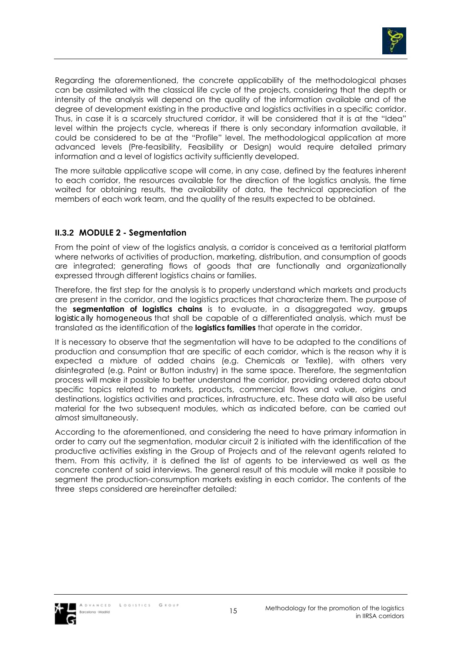

Regarding the aforementioned, the concrete applicability of the methodological phases can be assimilated with the classical life cycle of the projects, considering that the depth or intensity of the analysis will depend on the quality of the information available and of the degree of development existing in the productive and logistics activities in a specific corridor. Thus, in case it is a scarcely structured corridor, it will be considered that it is at the "Idea" level within the projects cycle, whereas if there is only secondary information available, it could be considered to be at the "Profile" level. The methodological application at more advanced levels (Pre-feasibility, Feasibility or Design) would require detailed primary information and a level of logistics activity sufficiently developed.

The more suitable applicative scope will come, in any case, defined by the features inherent to each corridor, the resources available for the direction of the logistics analysis, the time waited for obtaining results, the availability of data, the technical appreciation of the members of each work team, and the quality of the results expected to be obtained.

## **II.3.2 MODULE 2 - Segmentation**

From the point of view of the logistics analysis, a corridor is conceived as a territorial platform where networks of activities of production, marketing, distribution, and consumption of goods are integrated; generating flows of goods that are functionally and organizationally expressed through different logistics chains or families.

Therefore, the first step for the analysis is to properly understand which markets and products are present in the corridor, and the logistics practices that characterize them. The purpose of the **segmentation of logistics chains** is to evaluate, in a disaggregated way, *groups logistically homogeneous* that shall be capable of a differentiated analysis, which must be translated as the identification of the **logistics families** that operate in the corridor.

It is necessary to observe that the segmentation will have to be adapted to the conditions of production and consumption that are specific of each corridor, which is the reason why it is expected a mixture of added chains (e.g. Chemicals or Textile), with others very disintegrated (e.g. Paint or Button industry) in the same space. Therefore, the segmentation process will make it possible to better understand the corridor, providing ordered data about specific topics related to markets, products, commercial flows and value, origins and destinations, logistics activities and practices, infrastructure, etc. These data will also be useful material for the two subsequent modules, which as indicated before, can be carried out almost simultaneously.

According to the aforementioned, and considering the need to have primary information in order to carry out the segmentation, modular circuit 2 is initiated with the identification of the productive activities existing in the Group of Projects and of the relevant agents related to them. From this activity, it is defined the list of agents to be interviewed as well as the concrete content of said interviews. The general result of this module will make it possible to segment the production-consumption markets existing in each corridor. The contents of the three steps considered are hereinafter detailed:

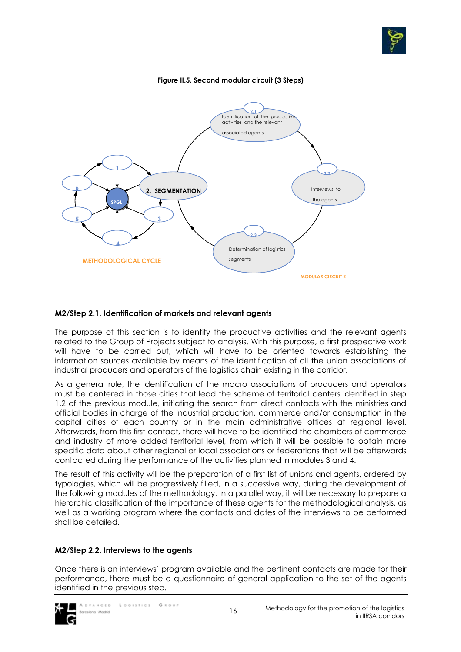

### **Figure II.5. Second modular circuit (3 Steps)**



#### **M2/Step 2.1. Identification of markets and relevant agents**

The purpose of this section is to identify the productive activities and the relevant agents related to the Group of Projects subject to analysis. With this purpose, a first prospective work will have to be carried out, which will have to be oriented towards establishing the information sources available by means of the identification of all the union associations of industrial producers and operators of the logistics chain existing in the corridor.

As a general rule, the identification of the macro associations of producers and operators must be centered in those cities that lead the scheme of territorial centers identified in step 1.2 of the previous module, initiating the search from direct contacts with the ministries and official bodies in charge of the industrial production, commerce and/or consumption in the capital cities of each country or in the main administrative offices at regional level. Afterwards, from this first contact, there will have to be identified the chambers of commerce and industry of more added territorial level, from which it will be possible to obtain more specific data about other regional or local associations or federations that will be afterwards contacted during the performance of the activities planned in modules 3 and 4.

The result of this activity will be the preparation of a first list of unions and agents, ordered by typologies, which will be progressively filled, in a successive way, during the development of the following modules of the methodology. In a parallel way, it will be necessary to prepare a hierarchic classification of the importance of these agents for the methodological analysis, as well as a working program where the contacts and dates of the interviews to be performed shall be detailed.

### **M2/Step 2.2. Interviews to the agents**

Once there is an interviews´ program available and the pertinent contacts are made for their performance, there must be a questionnaire of general application to the set of the agents identified in the previous step.

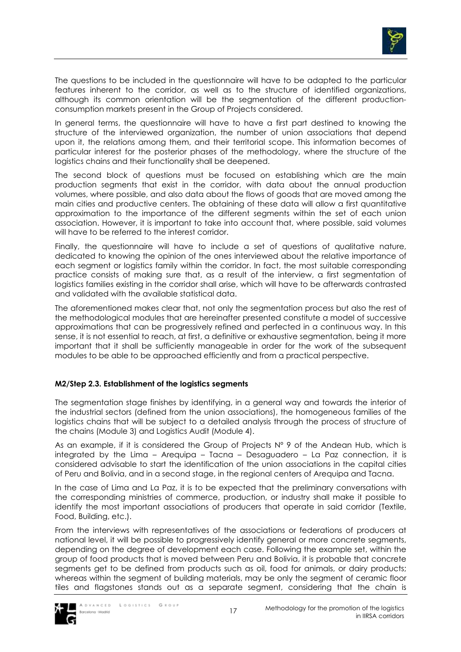

The questions to be included in the questionnaire will have to be adapted to the particular features inherent to the corridor, as well as to the structure of identified organizations, although its common orientation will be the segmentation of the different productionconsumption markets present in the Group of Projects considered.

In general terms, the questionnaire will have to have a first part destined to knowing the structure of the interviewed organization, the number of union associations that depend upon it, the relations among them, and their territorial scope. This information becomes of particular interest for the posterior phases of the methodology, where the structure of the logistics chains and their functionality shall be deepened.

The second block of questions must be focused on establishing which are the main production segments that exist in the corridor, with data about the annual production volumes, where possible, and also data about the flows of goods that are moved among the main cities and productive centers. The obtaining of these data will allow a first quantitative approximation to the importance of the different segments within the set of each union association. However, it is important to take into account that, where possible, said volumes will have to be referred to the interest corridor.

Finally, the questionnaire will have to include a set of questions of qualitative nature, dedicated to knowing the opinion of the ones interviewed about the relative importance of each segment or logistics family within the corridor. In fact, the most suitable corresponding practice consists of making sure that, as a result of the interview, a first segmentation of logistics families existing in the corridor shall arise, which will have to be afterwards contrasted and validated with the available statistical data.

The aforementioned makes clear that, not only the segmentation process but also the rest of the methodological modules that are hereinafter presented constitute a model of successive approximations that can be progressively refined and perfected in a continuous way. In this sense, it is not essential to reach, at first, a definitive or exhaustive segmentation, being it more important that it shall be sufficiently manageable in order for the work of the subsequent modules to be able to be approached efficiently and from a practical perspective.

### **M2/Step 2.3. Establishment of the logistics segments**

The segmentation stage finishes by identifying, in a general way and towards the interior of the industrial sectors (defined from the union associations), the homogeneous families of the logistics chains that will be subject to a detailed analysis through the process of structure of the chains (Module 3) and Logistics Audit (Module 4).

As an example, if it is considered the Group of Projects Nº 9 of the Andean Hub, which is integrated by the Lima – Arequipa – Tacna – Desaguadero – La Paz connection, it is considered advisable to start the identification of the union associations in the capital cities of Peru and Bolivia, and in a second stage, in the regional centers of Arequipa and Tacna.

In the case of Lima and La Paz, it is to be expected that the preliminary conversations with the corresponding ministries of commerce, production, or industry shall make it possible to identify the most important associations of producers that operate in said corridor (Textile, Food, Building, etc.).

From the interviews with representatives of the associations or federations of producers at national level, it will be possible to progressively identify general or more concrete segments, depending on the degree of development each case. Following the example set, within the group of food products that is moved between Peru and Bolivia, it is probable that concrete segments get to be defined from products such as oil, food for animals, or dairy products; whereas within the segment of building materials, may be only the segment of ceramic floor tiles and flagstones stands out as a separate segment, considering that the chain is

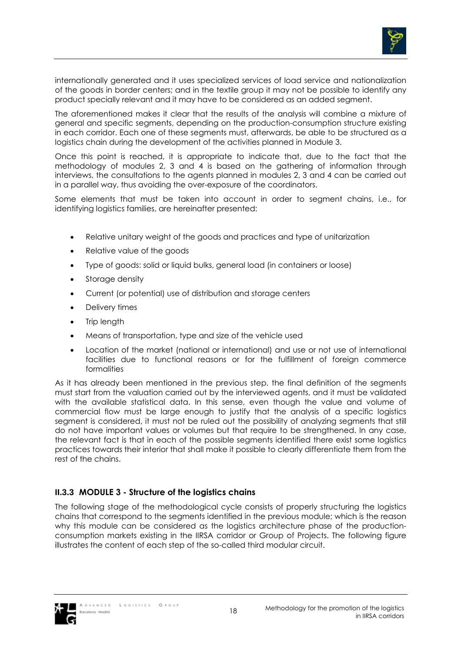

internationally generated and it uses specialized services of load service and nationalization of the goods in border centers; and in the textile group it may not be possible to identify any product specially relevant and it may have to be considered as an added segment.

The aforementioned makes it clear that the results of the analysis will combine a mixture of general and specific segments, depending on the production-consumption structure existing in each corridor. Each one of these segments must, afterwards, be able to be structured as a logistics chain during the development of the activities planned in Module 3.

Once this point is reached, it is appropriate to indicate that, due to the fact that the methodology of modules 2, 3 and 4 is based on the gathering of information through interviews, the consultations to the agents planned in modules 2, 3 and 4 can be carried out in a parallel way, thus avoiding the over-exposure of the coordinators.

Some elements that must be taken into account in order to segment chains, i.e., for identifying logistics families, are hereinafter presented:

- Relative unitary weight of the goods and practices and type of unitarization
- Relative value of the goods
- Type of goods: solid or liquid bulks, general load (in containers or loose)
- Storage density
- Current (or potential) use of distribution and storage centers
- Delivery times
- Trip length
- Means of transportation, type and size of the vehicle used
- Location of the market (national or international) and use or not use of international facilities due to functional reasons or for the fulfillment of foreign commerce formalities

As it has already been mentioned in the previous step, the final definition of the segments must start from the valuation carried out by the interviewed agents, and it must be validated with the available statistical data. In this sense, even though the value and volume of commercial flow must be large enough to justify that the analysis of a specific logistics segment is considered, it must not be ruled out the possibility of analyzing segments that still do not have important values or volumes but that require to be strengthened. In any case, the relevant fact is that in each of the possible segments identified there exist some logistics practices towards their interior that shall make it possible to clearly differentiate them from the rest of the chains.

### **II.3.3 MODULE 3 - Structure of the logistics chains**

The following stage of the methodological cycle consists of properly structuring the logistics chains that correspond to the segments identified in the previous module; which is the reason why this module can be considered as the logistics architecture phase of the productionconsumption markets existing in the IIRSA corridor or Group of Projects. The following figure illustrates the content of each step of the so-called third modular circuit.

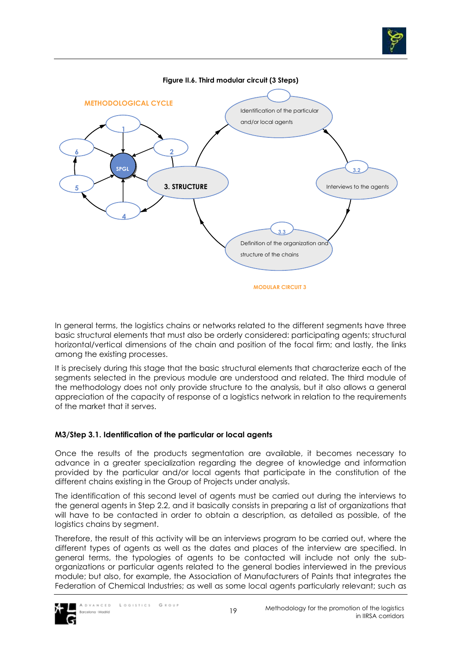

**Figure II.6. Third modular circuit (3 Steps)** 

In general terms, the logistics chains or networks related to the different segments have three basic structural elements that must also be orderly considered: participating agents; structural horizontal/vertical dimensions of the chain and position of the focal firm; and lastly, the links among the existing processes.

It is precisely during this stage that the basic structural elements that characterize each of the segments selected in the previous module are understood and related. The third module of the methodology does not only provide structure to the analysis, but it also allows a general appreciation of the capacity of response of a logistics network in relation to the requirements of the market that it serves.

### **M3/Step 3.1. Identification of the particular or local agents**

Once the results of the products segmentation are available, it becomes necessary to advance in a greater specialization regarding the degree of knowledge and information provided by the particular and/or local agents that participate in the constitution of the different chains existing in the Group of Projects under analysis.

The identification of this second level of agents must be carried out during the interviews to the general agents in Step 2.2, and it basically consists in preparing a list of organizations that will have to be contacted in order to obtain a description, as detailed as possible, of the logistics chains by segment.

Therefore, the result of this activity will be an interviews program to be carried out, where the different types of agents as well as the dates and places of the interview are specified. In general terms, the typologies of agents to be contacted will include not only the suborganizations or particular agents related to the general bodies interviewed in the previous module; but also, for example, the Association of Manufacturers of Paints that integrates the Federation of Chemical Industries; as well as some local agents particularly relevant; such as

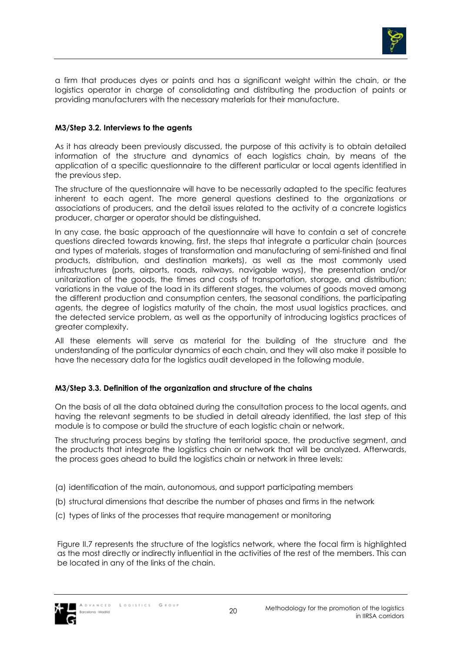

a firm that produces dyes or paints and has a significant weight within the chain, or the logistics operator in charge of consolidating and distributing the production of paints or providing manufacturers with the necessary materials for their manufacture.

### **M3/Step 3.2. Interviews to the agents**

As it has already been previously discussed, the purpose of this activity is to obtain detailed information of the structure and dynamics of each logistics chain, by means of the application of a specific questionnaire to the different particular or local agents identified in the previous step.

The structure of the questionnaire will have to be necessarily adapted to the specific features inherent to each agent. The more general questions destined to the organizations or associations of producers, and the detail issues related to the activity of a concrete logistics producer, charger or operator should be distinguished.

In any case, the basic approach of the questionnaire will have to contain a set of concrete questions directed towards knowing, first, the steps that integrate a particular chain (sources and types of materials, stages of transformation and manufacturing of semi-finished and final products, distribution, and destination markets), as well as the most commonly used infrastructures (ports, airports, roads, railways, navigable ways), the presentation and/or unitarization of the goods, the times and costs of transportation, storage, and distribution; variations in the value of the load in its different stages, the volumes of goods moved among the different production and consumption centers, the seasonal conditions, the participating agents, the degree of logistics maturity of the chain, the most usual logistics practices, and the detected service problem, as well as the opportunity of introducing logistics practices of greater complexity.

All these elements will serve as material for the building of the structure and the understanding of the particular dynamics of each chain, and they will also make it possible to have the necessary data for the logistics audit developed in the following module.

### **M3/Step 3.3. Definition of the organization and structure of the chains**

On the basis of all the data obtained during the consultation process to the local agents, and having the relevant segments to be studied in detail already identified, the last step of this module is to compose or build the structure of each logistic chain or network.

The structuring process begins by stating the territorial space, the productive segment, and the products that integrate the logistics chain or network that will be analyzed. Afterwards, the process goes ahead to build the logistics chain or network in three levels:

- (a) identification of the main, autonomous, and support participating members
- (b) structural dimensions that describe the number of phases and firms in the network
- (c) types of links of the processes that require management or monitoring

Figure II.7 represents the structure of the logistics network, where the focal firm is highlighted as the most directly or indirectly influential in the activities of the rest of the members. This can be located in any of the links of the chain.

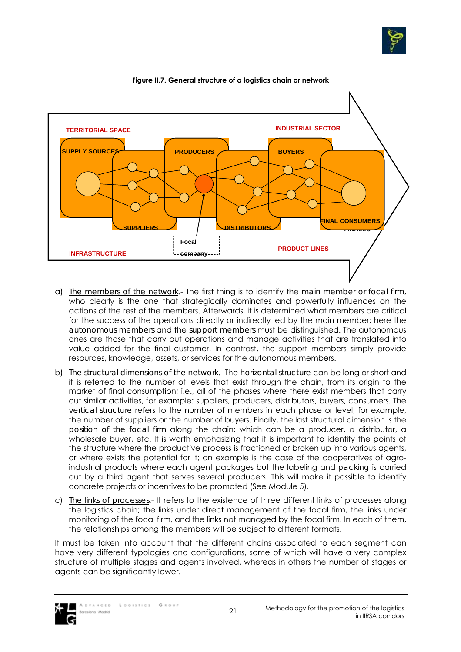



#### **Figure II.7. General structure of a logistics chain or network**

- a) *The members of the network*.- The first thing is to identify the *main member or focal firm*, who clearly is the one that strategically dominates and powerfully influences on the actions of the rest of the members. Afterwards, it is determined what members are critical for the success of the operations directly or indirectly led by the main member; here the *autonomous members* and the *support members* must be distinguished. The autonomous ones are those that carry out operations and manage activities that are translated into value added for the final customer. In contrast, the support members simply provide resources, knowledge, assets, or services for the autonomous members.
- b) *The structural dimensions of the network*.- The *horizontal structure* can be long or short and it is referred to the number of levels that exist through the chain, from its origin to the market of final consumption; i.e., all of the phases where there exist members that carry out similar activities, for example: suppliers, producers, distributors, buyers, consumers. The *vertical structure* refers to the number of members in each phase or level; for example, the number of suppliers or the number of buyers. Finally, the last structural dimension is the *position of the focal firm* along the chain; which can be a producer, a distributor, a wholesale buyer, etc. It is worth emphasizing that it is important to identify the points of the structure where the productive process is fractioned or broken up into various agents, or where exists the potential for it; an example is the case of the cooperatives of agroindustrial products where each agent packages but the labeling and *packing* is carried out by a third agent that serves several producers. This will make it possible to identify concrete projects or incentives to be promoted (See Module 5).
- c) *The links of processes*.- It refers to the existence of three different links of processes along the logistics chain; the links under direct management of the focal firm, the links under monitoring of the focal firm, and the links not managed by the focal firm. In each of them, the relationships among the members will be subject to different formats.

It must be taken into account that the different chains associated to each segment can have very different typologies and configurations, some of which will have a very complex structure of multiple stages and agents involved, whereas in others the number of stages or agents can be significantly lower.

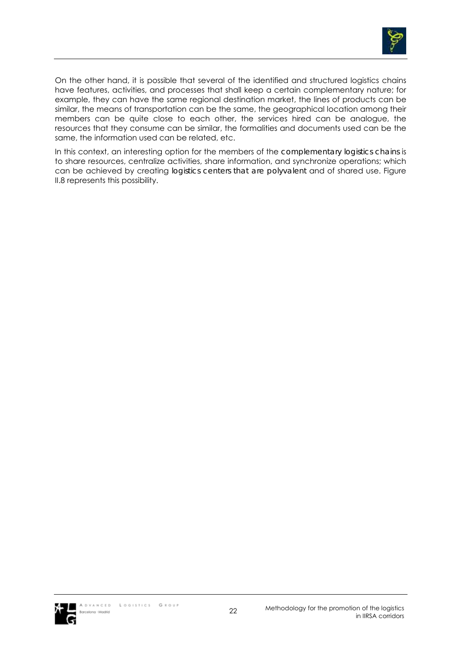

On the other hand, it is possible that several of the identified and structured logistics chains have features, activities, and processes that shall keep a certain complementary nature; for example, they can have the same regional destination market, the lines of products can be similar, the means of transportation can be the same, the geographical location among their members can be quite close to each other, the services hired can be analogue, the resources that they consume can be similar, the formalities and documents used can be the same, the information used can be related, etc.

In this context, an interesting option for the members of the *complementary logistics chains* is to share resources, centralize activities, share information, and synchronize operations; which can be achieved by creating *logistics centers that are polyvalent* and of shared use. Figure II.8 represents this possibility.

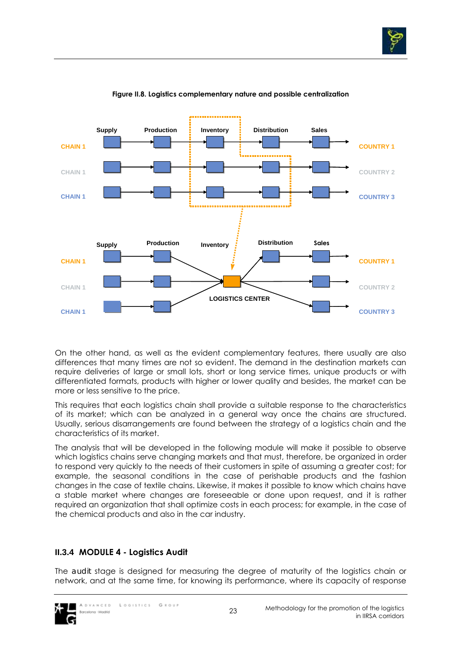



#### **Figure II.8. Logistics complementary nature and possible centralization**

On the other hand, as well as the evident complementary features, there usually are also differences that many times are not so evident. The demand in the destination markets can require deliveries of large or small lots, short or long service times, unique products or with differentiated formats, products with higher or lower quality and besides, the market can be more or less sensitive to the price.

This requires that each logistics chain shall provide a suitable response to the characteristics of its market; which can be analyzed in a general way once the chains are structured. Usually, serious disarrangements are found between the strategy of a logistics chain and the characteristics of its market.

The analysis that will be developed in the following module will make it possible to observe which logistics chains serve changing markets and that must, therefore, be organized in order to respond very quickly to the needs of their customers in spite of assuming a greater cost; for example, the seasonal conditions in the case of perishable products and the fashion changes in the case of textile chains. Likewise, it makes it possible to know which chains have a stable market where changes are foreseeable or done upon request, and it is rather required an organization that shall optimize costs in each process; for example, in the case of the chemical products and also in the car industry.

# **II.3.4 MODULE 4 - Logistics Audit**

The *audit* stage is designed for measuring the degree of maturity of the logistics chain or network, and at the same time, for knowing its performance, where its capacity of response

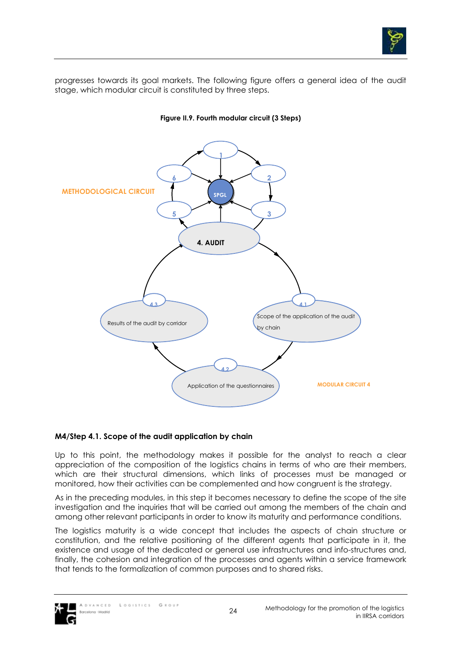

progresses towards its goal markets. The following figure offers a general idea of the audit stage, which modular circuit is constituted by three steps.



#### **Figure II.9. Fourth modular circuit (3 Steps)**

#### **M4/Step 4.1. Scope of the audit application by chain**

Up to this point, the methodology makes it possible for the analyst to reach a clear appreciation of the composition of the logistics chains in terms of who are their members, which are their structural dimensions, which links of processes must be managed or monitored, how their activities can be complemented and how congruent is the strategy.

As in the preceding modules, in this step it becomes necessary to define the scope of the site investigation and the inquiries that will be carried out among the members of the chain and among other relevant participants in order to know its maturity and performance conditions.

The logistics maturity is a wide concept that includes the aspects of chain structure or constitution, and the relative positioning of the different agents that participate in it, the existence and usage of the dedicated or general use infrastructures and info-structures and, finally, the cohesion and integration of the processes and agents within a service framework that tends to the formalization of common purposes and to shared risks.

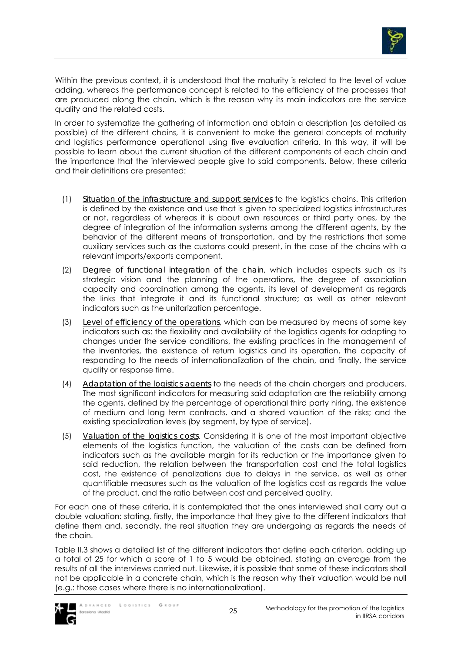

Within the previous context, it is understood that the maturity is related to the level of value adding, whereas the performance concept is related to the efficiency of the processes that are produced along the chain, which is the reason why its main indicators are the service quality and the related costs.

In order to systematize the gathering of information and obtain a description (as detailed as possible) of the different chains, it is convenient to make the general concepts of maturity and logistics performance operational using five evaluation criteria. In this way, it will be possible to learn about the current situation of the different components of each chain and the importance that the interviewed people give to said components. Below, these criteria and their definitions are presented:

- (1) *Situation of the infrastructure and support services* to the logistics chains. This criterion is defined by the existence and use that is given to specialized logistics infrastructures or not, regardless of whereas it is about own resources or third party ones, by the degree of integration of the information systems among the different agents, by the behavior of the different means of transportation, and by the restrictions that some auxiliary services such as the customs could present, in the case of the chains with a relevant imports/exports component.
- (2) *Degree of functional integration of the chain*, which includes aspects such as its strategic vision and the planning of the operations, the degree of association capacity and coordination among the agents, its level of development as regards the links that integrate it and its functional structure; as well as other relevant indicators such as the unitarization percentage.
- (3) *Level of efficiency of the operations*, which can be measured by means of some key indicators such as: the flexibility and availability of the logistics agents for adapting to changes under the service conditions, the existing practices in the management of the inventories, the existence of return logistics and its operation, the capacity of responding to the needs of internationalization of the chain, and finally, the service quality or response time.
- (4) *Adaptation of the logistics agents* to the needs of the chain chargers and producers. The most significant indicators for measuring said adaptation are the reliability among the agents, defined by the percentage of operational third party hiring, the existence of medium and long term contracts, and a shared valuation of the risks; and the existing specialization levels (by segment, by type of service).
- (5) *Valuation of the logistics costs*. Considering it is one of the most important objective elements of the logistics function, the valuation of the costs can be defined from indicators such as the available margin for its reduction or the importance given to said reduction, the relation between the transportation cost and the total logistics cost, the existence of penalizations due to delays in the service, as well as other quantifiable measures such as the valuation of the logistics cost as regards the value of the product, and the ratio between cost and perceived quality.

For each one of these criteria, it is contemplated that the ones interviewed shall carry out a double valuation: stating, firstly, the importance that they give to the different indicators that define them and, secondly, the real situation they are undergoing as regards the needs of the chain.

Table II.3 shows a detailed list of the different indicators that define each criterion, adding up a total of 25 for which a score of 1 to 5 would be obtained, stating an average from the results of all the interviews carried out. Likewise, it is possible that some of these indicators shall not be applicable in a concrete chain, which is the reason why their valuation would be null (e.g.: those cases where there is no internationalization).

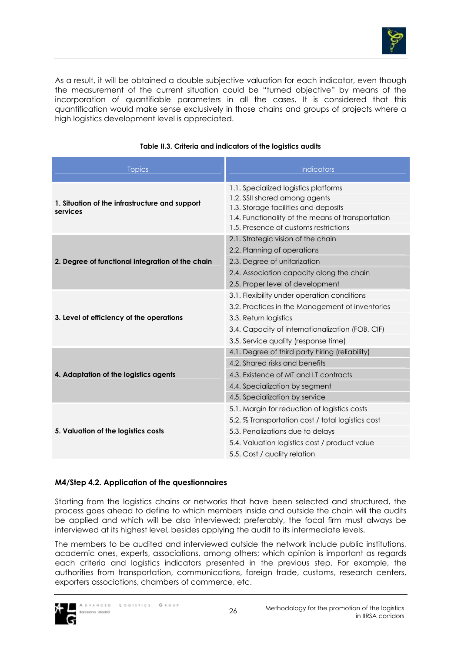

As a result, it will be obtained a double subjective valuation for each indicator, even though the measurement of the current situation could be "turned objective" by means of the incorporation of quantifiable parameters in all the cases. It is considered that this quantification would make sense exclusively in those chains and groups of projects where a high logistics development level is appreciated.

| <b>Topics</b>                                    | <b>Indicators</b>                                 |  |  |
|--------------------------------------------------|---------------------------------------------------|--|--|
|                                                  | 1.1. Specialized logistics platforms              |  |  |
| 1. Situation of the infrastructure and support   | 1.2. SSII shared among agents                     |  |  |
| services                                         | 1.3. Storage facilities and deposits              |  |  |
|                                                  | 1.4. Functionality of the means of transportation |  |  |
|                                                  | 1.5. Presence of customs restrictions             |  |  |
|                                                  | 2.1. Strategic vision of the chain                |  |  |
|                                                  | 2.2. Planning of operations                       |  |  |
| 2. Degree of functional integration of the chain | 2.3. Degree of unitarization                      |  |  |
|                                                  | 2.4. Association capacity along the chain         |  |  |
|                                                  | 2.5. Proper level of development                  |  |  |
|                                                  | 3.1. Flexibility under operation conditions       |  |  |
|                                                  | 3.2. Practices in the Management of inventories   |  |  |
| 3. Level of efficiency of the operations         | 3.3. Return logistics                             |  |  |
|                                                  | 3.4. Capacity of internationalization (FOB, CIF)  |  |  |
|                                                  | 3.5. Service quality (response time)              |  |  |
|                                                  | 4.1. Degree of third party hiring (reliability)   |  |  |
|                                                  | 4.2. Shared risks and benefits                    |  |  |
| 4. Adaptation of the logistics agents            | 4.3. Existence of MT and LT contracts             |  |  |
|                                                  | 4.4. Specialization by segment                    |  |  |
|                                                  | 4.5. Specialization by service                    |  |  |
|                                                  | 5.1. Margin for reduction of logistics costs      |  |  |
|                                                  | 5.2. % Transportation cost / total logistics cost |  |  |
| 5. Valuation of the logistics costs              | 5.3. Penalizations due to delays                  |  |  |
|                                                  | 5.4. Valuation logistics cost / product value     |  |  |
|                                                  | 5.5. Cost / quality relation                      |  |  |

### **Table II.3. Criteria and indicators of the logistics audits**

### **M4/Step 4.2. Application of the questionnaires**

Starting from the logistics chains or networks that have been selected and structured, the process goes ahead to define to which members inside and outside the chain will the audits be applied and which will be also interviewed; preferably, the focal firm must always be interviewed at its highest level, besides applying the audit to its intermediate levels.

The members to be audited and interviewed outside the network include public institutions, academic ones, experts, associations, among others; which opinion is important as regards each criteria and logistics indicators presented in the previous step. For example, the authorities from transportation, communications, foreign trade, customs, research centers, exporters associations, chambers of commerce, etc.

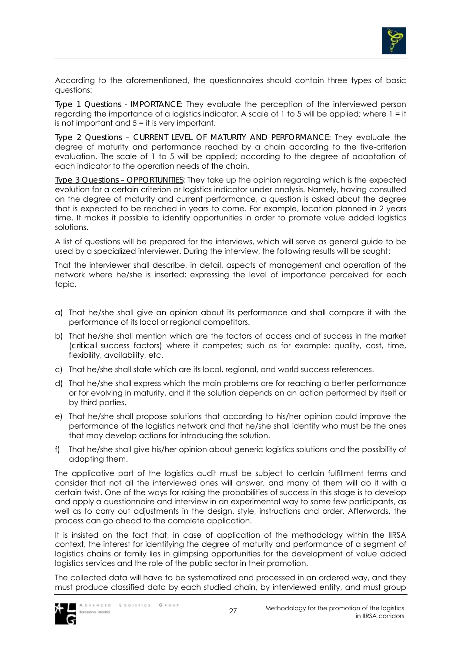

According to the aforementioned, the questionnaires should contain three types of basic questions:

*Type 1 Questions - IMPORTANCE*: They evaluate the perception of the interviewed person regarding the importance of a logistics indicator. A scale of 1 to 5 will be applied; where 1 = it is not important and 5 = it is very important.

*Type 2 Questions – CURRENT LEVEL OF MATURITY AND PERFORMANCE*: They evaluate the degree of maturity and performance reached by a chain according to the five-criterion evaluation. The scale of 1 to 5 will be applied; according to the degree of adaptation of each indicator to the operation needs of the chain.

*Type 3 Questions – OPPORTUNITIES*: They take up the opinion regarding which is the expected evolution for a certain criterion or logistics indicator under analysis. Namely, having consulted on the degree of maturity and current performance, a question is asked about the degree that is expected to be reached in years to come. For example, location planned in 2 years time. It makes it possible to identify opportunities in order to promote value added logistics solutions.

A list of questions will be prepared for the interviews, which will serve as general guide to be used by a specialized interviewer. During the interview, the following results will be sought:

That the interviewer shall describe, in detail, aspects of management and operation of the network where he/she is inserted; expressing the level of importance perceived for each topic.

- a) That he/she shall give an opinion about its performance and shall compare it with the performance of its local or regional competitors.
- b) That he/she shall mention which are the factors of access and of success in the market (*critical* success factors) where it competes; such as for example: quality, cost, time, flexibility, availability, etc.
- c) That he/she shall state which are its local, regional, and world success references.
- d) That he/she shall express which the main problems are for reaching a better performance or for evolving in maturity, and if the solution depends on an action performed by itself or by third parties.
- e) That he/she shall propose solutions that according to his/her opinion could improve the performance of the logistics network and that he/she shall identify who must be the ones that may develop actions for introducing the solution.
- f) That he/she shall give his/her opinion about generic logistics solutions and the possibility of adopting them.

The applicative part of the logistics audit must be subject to certain fulfillment terms and consider that not all the interviewed ones will answer, and many of them will do it with a certain twist. One of the ways for raising the probabilities of success in this stage is to develop and apply a questionnaire and interview in an experimental way to some few participants, as well as to carry out adjustments in the design, style, instructions and order. Afterwards, the process can go ahead to the complete application.

It is insisted on the fact that, in case of application of the methodology within the IIRSA context, the interest for identifying the degree of maturity and performance of a segment of logistics chains or family lies in glimpsing opportunities for the development of value added logistics services and the role of the public sector in their promotion.

The collected data will have to be systematized and processed in an ordered way, and they must produce classified data by each studied chain, by interviewed entity, and must group

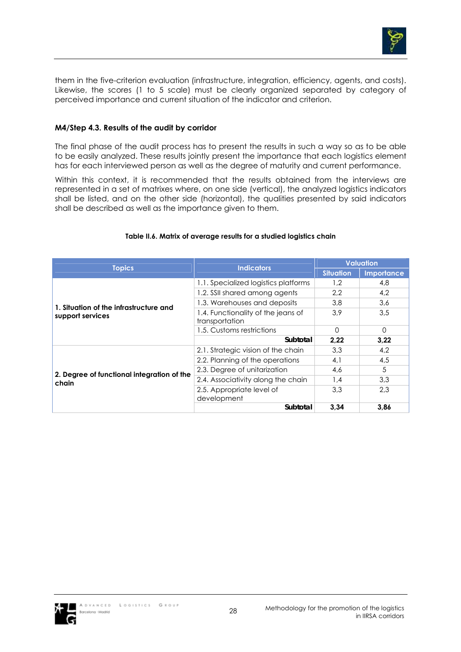

them in the five-criterion evaluation (infrastructure, integration, efficiency, agents, and costs). Likewise, the scores (1 to 5 scale) must be clearly organized separated by category of perceived importance and current situation of the indicator and criterion.

### **M4/Step 4.3. Results of the audit by corridor**

The final phase of the audit process has to present the results in such a way so as to be able to be easily analyzed. These results jointly present the importance that each logistics element has for each interviewed person as well as the degree of maturity and current performance.

Within this context, it is recommended that the results obtained from the interviews are represented in a set of matrixes where, on one side (vertical), the analyzed logistics indicators shall be listed, and on the other side (horizontal), the qualities presented by said indicators shall be described as well as the importance given to them.

| <b>Topics</b>                                       | <b>Indicators</b>                                    | <b>Valuation</b> |            |
|-----------------------------------------------------|------------------------------------------------------|------------------|------------|
|                                                     |                                                      | <b>Situation</b> | Importance |
|                                                     | 1.1. Specialized logistics platforms                 | 1.2              | 4,8        |
|                                                     | 1.2. SSII shared among agents                        | 2.2              | 4,2        |
| 1. Situation of the infrastructure and              | 1.3. Warehouses and deposits                         | 3.8              | 3,6        |
| support services                                    | 1.4. Functionality of the jeans of<br>transportation | 3.9              | 3,5        |
|                                                     | 1.5. Customs restrictions                            | $\Omega$         | $\Omega$   |
|                                                     | Subtotal                                             | 2,22             | 3,22       |
|                                                     | 2.1. Strategic vision of the chain                   | 3.3              | 4,2        |
|                                                     | 2.2. Planning of the operations                      | 4,1              | 4,5        |
| 2. Degree of functional integration of the<br>chain | 2.3. Degree of unitarization                         | 4,6              | 5          |
|                                                     | 2.4. Associativity along the chain                   | 1.4              | 3,3        |
|                                                     | 2.5. Appropriate level of<br>development             | 3.3              | 2.3        |
|                                                     | Subtotal                                             | 3.34             | 3,86       |

#### **Table II.6. Matrix of average results for a studied logistics chain**

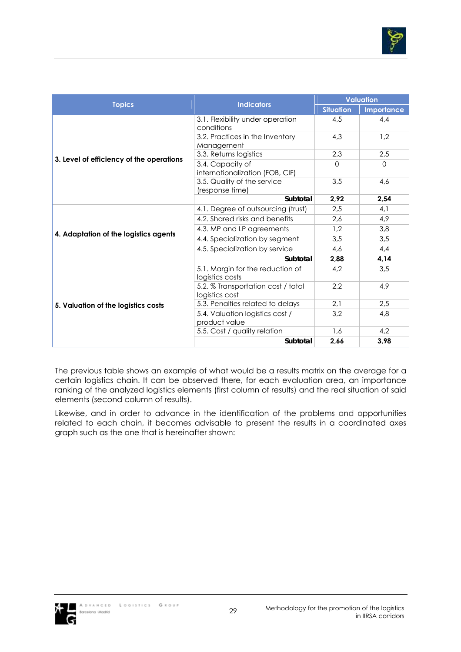

|                                          |                                                      | <b>Valuation</b> |            |
|------------------------------------------|------------------------------------------------------|------------------|------------|
| <b>Topics</b>                            | <b>Indicators</b>                                    | <b>Situation</b> | Importance |
|                                          | 3.1. Flexibility under operation<br>conditions       | 4,5              | 4.4        |
|                                          | 3.2. Practices in the Inventory<br>Management        | 4.3              | 1.2        |
|                                          | 3.3. Returns logistics                               | 2,3              | 2.5        |
| 3. Level of efficiency of the operations | 3.4. Capacity of<br>internationalization (FOB, CIF)  | $\Omega$         | $\Omega$   |
|                                          | 3.5. Quality of the service<br>(response time)       | 3,5              | 4,6        |
|                                          | Subtotal                                             | 2.92             | 2,54       |
|                                          | 4.1. Degree of outsourcing (trust)                   | 2.5              | 4.1        |
|                                          | 4.2. Shared risks and benefits                       | 2,6              | 4.9        |
| 4. Adaptation of the logistics agents    | 4.3. MP and LP agreements                            | 1,2              | 3,8        |
|                                          | 4.4. Specialization by segment                       | 3,5              | 3,5        |
|                                          | 4.5. Specialization by service                       | 4.6              | 4.4        |
|                                          | Subtotal                                             | 2,88             | 4,14       |
|                                          | 5.1. Margin for the reduction of<br>logistics costs  | 4,2              | 3.5        |
|                                          | 5.2. % Transportation cost / total<br>logistics cost | 2,2              | 4.9        |
| 5. Valuation of the logistics costs      | 5.3. Penalties related to delays                     | 2,1              | 2,5        |
|                                          | 5.4. Valuation logistics cost /<br>product value     | 3,2              | 4.8        |
|                                          | 5.5. Cost / quality relation                         | 1.6              | 4,2        |
|                                          | Subtotal                                             | 2,66             | 3,98       |

The previous table shows an example of what would be a results matrix on the average for a certain logistics chain. It can be observed there, for each evaluation area, an importance ranking of the analyzed logistics elements (first column of results) and the real situation of said elements (second column of results).

Likewise, and in order to advance in the identification of the problems and opportunities related to each chain, it becomes advisable to present the results in a coordinated axes graph such as the one that is hereinafter shown:

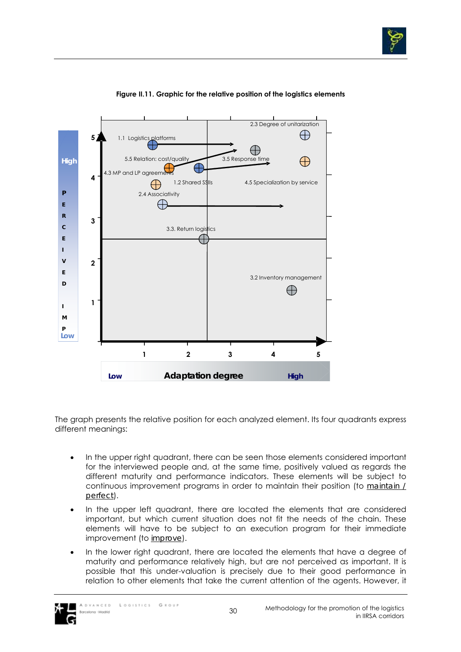



### **Figure II.11. Graphic for the relative position of the logistics elements**

The graph presents the relative position for each analyzed element. Its four quadrants express different meanings:

- In the upper right quadrant, there can be seen those elements considered important for the interviewed people and, at the same time, positively valued as regards the different maturity and performance indicators. These elements will be subject to continuous improvement programs in order to maintain their position (to *maintain / perfect*).
- In the upper left quadrant, there are located the elements that are considered important, but which current situation does not fit the needs of the chain. These elements will have to be subject to an execution program for their immediate improvement (to *improve*).
- In the lower right quadrant, there are located the elements that have a degree of maturity and performance relatively high, but are not perceived as important. It is possible that this under-valuation is precisely due to their good performance in relation to other elements that take the current attention of the agents. However, it

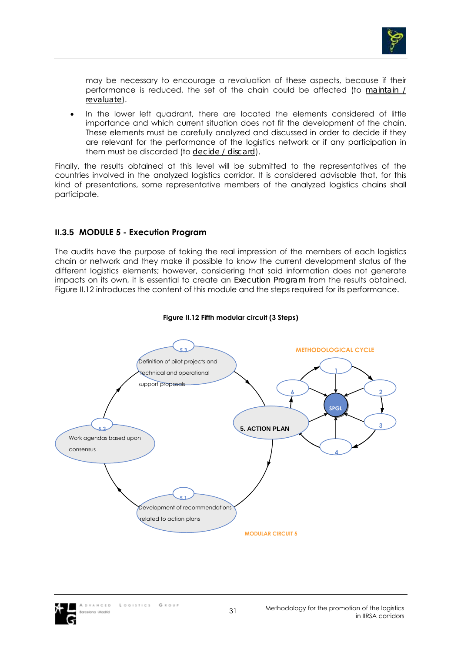

may be necessary to encourage a revaluation of these aspects, because if their performance is reduced, the set of the chain could be affected (to *maintain / revaluate*).

• In the lower left quadrant, there are located the elements considered of little importance and which current situation does not fit the development of the chain. These elements must be carefully analyzed and discussed in order to decide if they are relevant for the performance of the logistics network or if any participation in them must be discarded (to *decide / discard*).

Finally, the results obtained at this level will be submitted to the representatives of the countries involved in the analyzed logistics corridor. It is considered advisable that, for this kind of presentations, some representative members of the analyzed logistics chains shall participate.

## **II.3.5 MODULE 5 - Execution Program**

The audits have the purpose of taking the real impression of the members of each logistics chain or network and they make it possible to know the current development status of the different logistics elements; however, considering that said information does not generate impacts on its own, it is essential to create an *Execution Program* from the results obtained. Figure II.12 introduces the content of this module and the steps required for its performance.



#### **Figure II.12 Fifth modular circuit (3 Steps)**

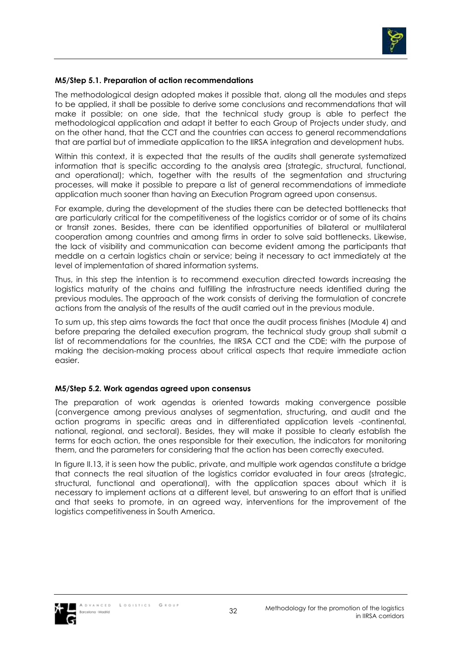

### **M5/Step 5.1. Preparation of action recommendations**

The methodological design adopted makes it possible that, along all the modules and steps to be applied, it shall be possible to derive some conclusions and recommendations that will make it possible; on one side, that the technical study group is able to perfect the methodological application and adapt it better to each Group of Projects under study, and on the other hand, that the CCT and the countries can access to general recommendations that are partial but of immediate application to the IIRSA integration and development hubs.

Within this context, it is expected that the results of the audits shall generate systematized information that is specific according to the analysis area (strategic, structural, functional, and operational); which, together with the results of the segmentation and structuring processes, will make it possible to prepare a list of general recommendations of immediate application much sooner than having an Execution Program agreed upon consensus.

For example, during the development of the studies there can be detected bottlenecks that are particularly critical for the competitiveness of the logistics corridor or of some of its chains or transit zones. Besides, there can be identified opportunities of bilateral or multilateral cooperation among countries and among firms in order to solve said bottlenecks. Likewise, the lack of visibility and communication can become evident among the participants that meddle on a certain logistics chain or service; being it necessary to act immediately at the level of implementation of shared information systems.

Thus, in this step the intention is to recommend execution directed towards increasing the logistics maturity of the chains and fulfilling the infrastructure needs identified during the previous modules. The approach of the work consists of deriving the formulation of concrete actions from the analysis of the results of the audit carried out in the previous module.

To sum up, this step aims towards the fact that once the audit process finishes (Module 4) and before preparing the detailed execution program, the technical study group shall submit a list of recommendations for the countries, the IIRSA CCT and the CDE; with the purpose of making the decision-making process about critical aspects that require immediate action easier.

#### **M5/Step 5.2. Work agendas agreed upon consensus**

The preparation of work agendas is oriented towards making convergence possible (convergence among previous analyses of segmentation, structuring, and audit and the action programs in specific areas and in differentiated application levels -continental, national, regional, and sectoral). Besides, they will make it possible to clearly establish the terms for each action, the ones responsible for their execution, the indicators for monitoring them, and the parameters for considering that the action has been correctly executed.

In figure II.13, it is seen how the public, private, and multiple work agendas constitute a bridge that connects the real situation of the logistics corridor evaluated in four areas (strategic, structural, functional and operational), with the application spaces about which it is necessary to implement actions at a different level, but answering to an effort that is unified and that seeks to promote, in an agreed way, interventions for the improvement of the logistics competitiveness in South America.

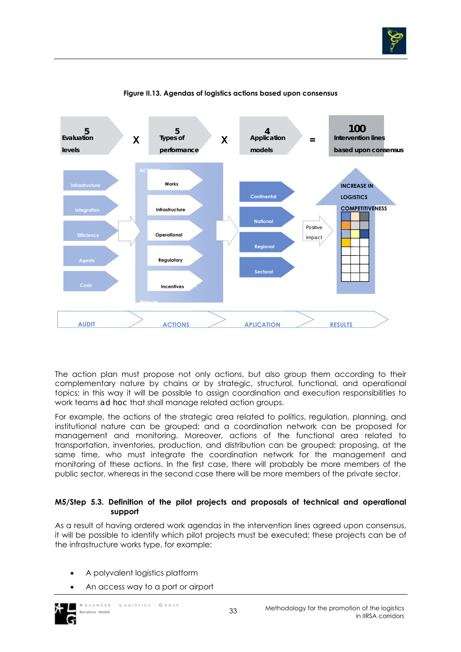



#### **Figure II.13. Agendas of logistics actions based upon consensus**

The action plan must propose not only actions, but also group them according to their complementary nature by chains or by strategic, structural, functional, and operational topics; in this way it will be possible to assign coordination and execution responsibilities to work teams *ad hoc* that shall manage related action groups.

For example, the actions of the strategic area related to politics, regulation, planning, and institutional nature can be grouped; and a coordination network can be proposed for management and monitoring. Moreover, actions of the functional area related to transportation, inventories, production, and distribution can be grouped; proposing, at the same time, who must integrate the coordination network for the management and monitoring of these actions. In the first case, there will probably be more members of the public sector, whereas in the second case there will be more members of the private sector.

#### **M5/Step 5.3. Definition of the pilot projects and proposals of technical and operational support**

As a result of having ordered work agendas in the intervention lines agreed upon consensus, it will be possible to identify which pilot projects must be executed; these projects can be of the infrastructure works type, for example:

- A polyvalent logistics platform
- An access way to a port or airport

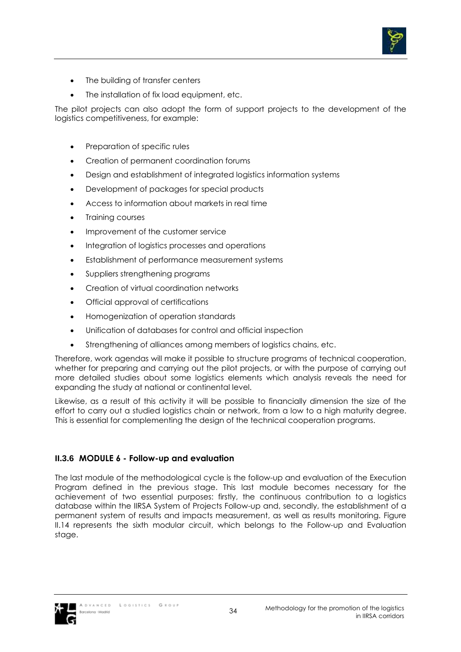

- The building of transfer centers
- The installation of fix load equipment, etc.

The pilot projects can also adopt the form of support projects to the development of the logistics competitiveness, for example:

- Preparation of specific rules
- Creation of permanent coordination forums
- Design and establishment of integrated logistics information systems
- Development of packages for special products
- Access to information about markets in real time
- Training courses
- Improvement of the customer service
- Integration of logistics processes and operations
- Establishment of performance measurement systems
- Suppliers strengthening programs
- Creation of virtual coordination networks
- Official approval of certifications
- Homogenization of operation standards
- Unification of databases for control and official inspection
- Strengthening of alliances among members of logistics chains, etc.

Therefore, work agendas will make it possible to structure programs of technical cooperation, whether for preparing and carrying out the pilot projects, or with the purpose of carrying out more detailed studies about some logistics elements which analysis reveals the need for expanding the study at national or continental level.

Likewise, as a result of this activity it will be possible to financially dimension the size of the effort to carry out a studied logistics chain or network, from a low to a high maturity degree. This is essential for complementing the design of the technical cooperation programs.

### **II.3.6 MODULE 6 - Follow-up and evaluation**

The last module of the methodological cycle is the follow-up and evaluation of the Execution Program defined in the previous stage. This last module becomes necessary for the achievement of two essential purposes: firstly, the continuous contribution to a logistics database within the IIRSA System of Projects Follow-up and, secondly, the establishment of a permanent system of results and impacts measurement, as well as results monitoring. Figure II.14 represents the sixth modular circuit, which belongs to the Follow-up and Evaluation stage.

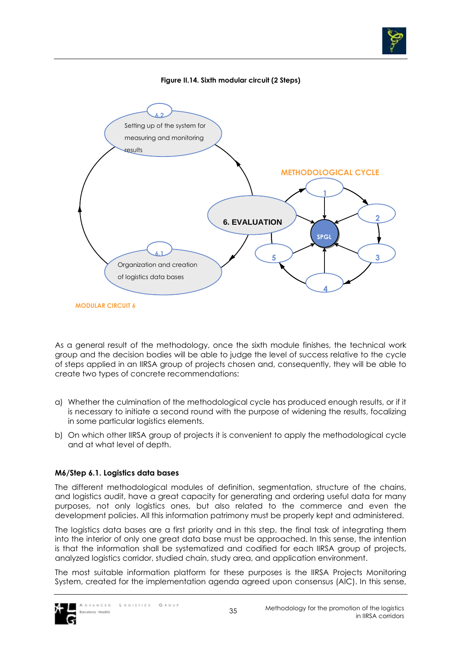

As a general result of the methodology, once the sixth module finishes, the technical work group and the decision bodies will be able to judge the level of success relative to the cycle of steps applied in an IIRSA group of projects chosen and, consequently, they will be able to create two types of concrete recommendations:

- a) Whether the culmination of the methodological cycle has produced enough results, or if it is necessary to initiate a second round with the purpose of widening the results, focalizing in some particular logistics elements.
- b) On which other IIRSA group of projects it is convenient to apply the methodological cycle and at what level of depth.

# **M6/Step 6.1. Logistics data bases**

The different methodological modules of definition, segmentation, structure of the chains, and logistics audit, have a great capacity for generating and ordering useful data for many purposes, not only logistics ones, but also related to the commerce and even the development policies. All this information patrimony must be properly kept and administered.

The logistics data bases are a first priority and in this step, the final task of integrating them into the interior of only one great data base must be approached. In this sense, the intention is that the information shall be systematized and codified for each IIRSA group of projects, analyzed logistics corridor, studied chain, study area, and application environment.

The most suitable information platform for these purposes is the IIRSA Projects Monitoring System, created for the implementation agenda agreed upon consensus (AIC). In this sense,

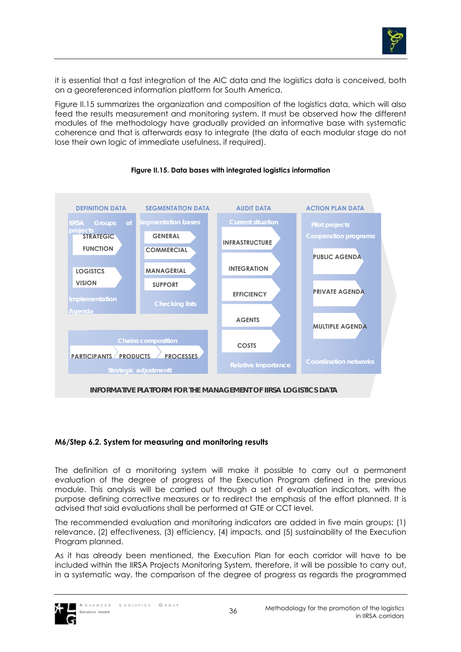

it is essential that a fast integration of the AIC data and the logistics data is conceived, both on a georeferenced information platform for South America.

Figure II.15 summarizes the organization and composition of the logistics data, which will also feed the results measurement and monitoring system. It must be observed how the different modules of the methodology have gradually provided an informative base with systematic coherence and that is afterwards easy to integrate (the data of each modular stage do not lose their own logic of immediate usefulness, if required).



## **Figure II.15. Data bases with integrated logistics information**

## **M6/Step 6.2. System for measuring and monitoring results**

The definition of a monitoring system will make it possible to carry out a permanent evaluation of the degree of progress of the Execution Program defined in the previous module. This analysis will be carried out through a set of evaluation indicators, with the purpose defining corrective measures or to redirect the emphasis of the effort planned. It is advised that said evaluations shall be performed at GTE or CCT level.

The recommended evaluation and monitoring indicators are added in five main groups: (1) relevance, (2) effectiveness, (3) efficiency, (4) impacts, and (5) sustainability of the Execution Program planned.

As it has already been mentioned, the Execution Plan for each corridor will have to be included within the IIRSA Projects Monitoring System, therefore, it will be possible to carry out, in a systematic way, the comparison of the degree of progress as regards the programmed

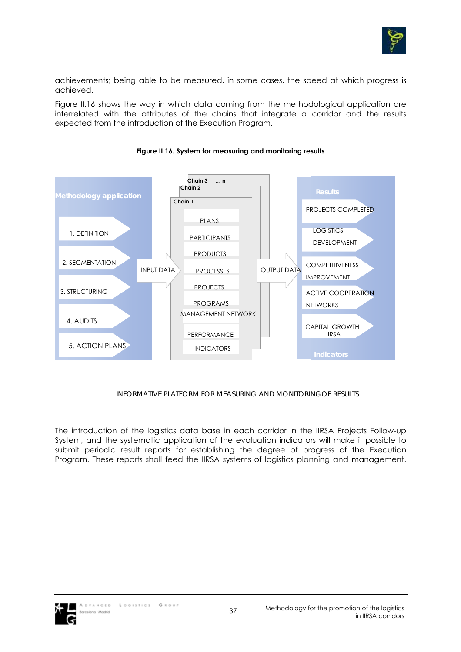

achievements; being able to be measured, in some cases, the speed at which progress is achieved.

Figure II.16 shows the way in which data coming from the methodological application are interrelated with the attributes of the chains that integrate a corridor and the results expected from the introduction of the Execution Program.



**Figure II.16. System for measuring and monitoring results** 

*INFORMATIVE PLATFORM FOR MEASURING AND MONITORINGOF RESULTS* 

The introduction of the logistics data base in each corridor in the IIRSA Projects Follow-up System, and the systematic application of the evaluation indicators will make it possible to submit periodic result reports for establishing the degree of progress of the Execution Program. These reports shall feed the IIRSA systems of logistics planning and management.

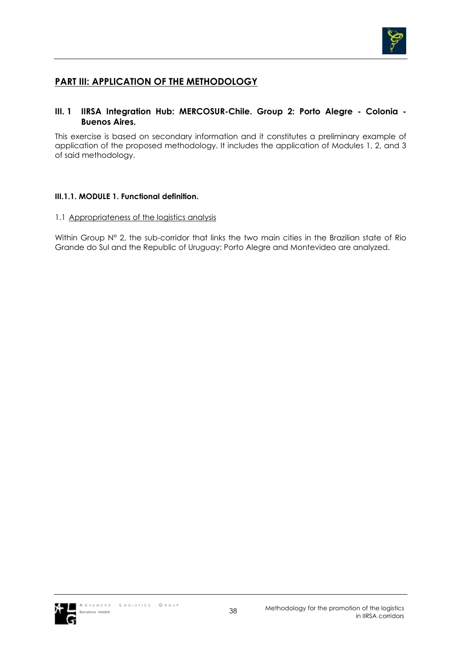

# **PART III: APPLICATION OF THE METHODOLOGY**

## **III. 1 IIRSA Integration Hub: MERCOSUR-Chile. Group 2: Porto Alegre - Colonia - Buenos Aires.**

This exercise is based on secondary information and it constitutes a preliminary example of application of the proposed methodology. It includes the application of Modules 1, 2, and 3 of said methodology.

## **III.1.1. MODULE 1. Functional definition.**

### 1.1 Appropriateness of the logistics analysis

Within Group N° 2, the sub-corridor that links the two main cities in the Brazilian state of Rio Grande do Sul and the Republic of Uruguay: Porto Alegre and Montevideo are analyzed.

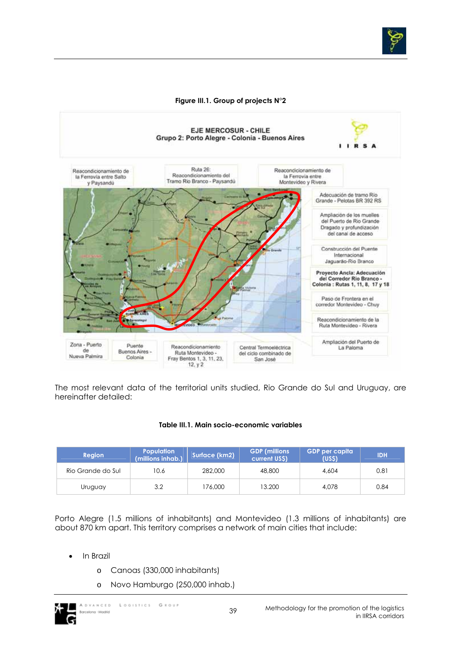

### **Figure III.1. Group of projects N°2**



The most relevant data of the territorial units studied, Rio Grande do Sul and Uruguay, are hereinafter detailed:

#### **Table III.1. Main socio-economic variables**

| <b>Region</b>     | <b>Population</b><br>(millions inhab.) | Surface (km2) | <b>GDP</b> (millions<br>current US\$) | GDP per capita<br>(USS) | <b>IDH</b> |
|-------------------|----------------------------------------|---------------|---------------------------------------|-------------------------|------------|
| Rio Grande do Sul | 10.6                                   | 282,000       | 48,800                                | 4.604                   | 0.81       |
| Uruguay           | 3.2                                    | 176,000       | 13.200                                | 4.078                   | 0.84       |

Porto Alegre (1.5 millions of inhabitants) and Montevideo (1.3 millions of inhabitants) are about 870 km apart. This territory comprises a network of main cities that include:

- In Brazil
	- o Canoas (330,000 inhabitants)
	- o Novo Hamburgo (250,000 inhab.)



in IIRSA corridors

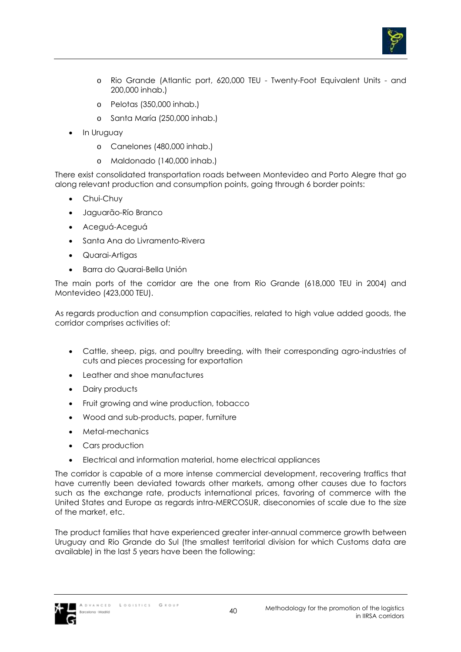

- o Rio Grande (Atlantic port, 620,000 TEU Twenty-Foot Equivalent Units and 200,000 inhab.)
- o Pelotas (350,000 inhab.)
- o Santa María (250,000 inhab.)
- In Uruguay
	- o Canelones (480,000 inhab.)
	- o Maldonado (140,000 inhab.)

There exist consolidated transportation roads between Montevideo and Porto Alegre that go along relevant production and consumption points, going through 6 border points:

- Chui-Chuy
- Jaguarão-Río Branco
- Aceguá-Aceguá
- Santa Ana do Livramento-Rivera
- Quarai-Artigas
- Barra do Quarai-Bella Unión

The main ports of the corridor are the one from Rio Grande (618,000 TEU in 2004) and Montevideo (423,000 TEU).

As regards production and consumption capacities, related to high value added goods, the corridor comprises activities of:

- Cattle, sheep, pigs, and poultry breeding, with their corresponding agro-industries of cuts and pieces processing for exportation
- Leather and shoe manufactures
- Dairy products
- Fruit growing and wine production, tobacco
- Wood and sub-products, paper, furniture
- Metal-mechanics
- Cars production
- Electrical and information material, home electrical appliances

The corridor is capable of a more intense commercial development, recovering traffics that have currently been deviated towards other markets, among other causes due to factors such as the exchange rate, products international prices, favoring of commerce with the United States and Europe as regards intra-MERCOSUR, diseconomies of scale due to the size of the market, etc.

The product families that have experienced greater inter-annual commerce growth between Uruguay and Rio Grande do Sul (the smallest territorial division for which Customs data are available) in the last 5 years have been the following:

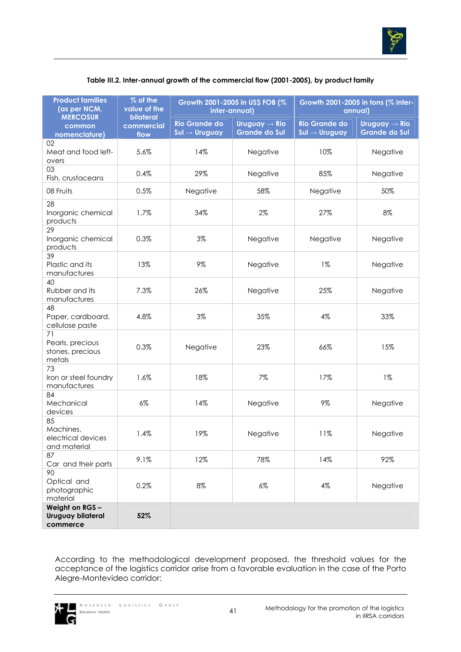

| <b>Product families</b><br>(as per NCM,<br><b>MERCOSUR</b> | % of the<br>value of the<br>bilateral | inter-annual)                                     | Growth 2001-2005 in US\$ FOB (%                   | Growth 2001-2005 in tons (% inter-<br>annual)     |                                                   |  |
|------------------------------------------------------------|---------------------------------------|---------------------------------------------------|---------------------------------------------------|---------------------------------------------------|---------------------------------------------------|--|
| common                                                     | commercial                            | <b>Rio Grande do</b><br>$Sul \rightarrow Uruguay$ | Uruguay $\rightarrow$ Rio<br><b>Grande do Sul</b> | <b>Rio Grande do</b><br>$Sul \rightarrow Uruguay$ | Uruguay $\rightarrow$ Rio<br><b>Grande do Sul</b> |  |
| nomenclature)<br>02                                        | flow                                  |                                                   |                                                   |                                                   |                                                   |  |
| Meat and food left-<br>overs                               | 5.6%                                  | 14%                                               | Negative                                          | 10%                                               | Negative                                          |  |
| 03<br>Fish, crustaceans                                    | 0.4%                                  | 29%                                               | Negative                                          | 85%                                               | Negative                                          |  |
| 08 Fruits                                                  | 0.5%                                  | Negative                                          | 58%                                               | Negative                                          | 50%                                               |  |
| 28<br>Inorganic chemical<br>products                       | 1,7%                                  | 34%                                               | 2%                                                | 27%                                               | 8%                                                |  |
| 29<br>Inorganic chemical<br>products                       | 0.3%                                  | 3%                                                | Negative                                          | Negative                                          | Negative                                          |  |
| 39<br>Plastic and its<br>manufactures                      | 13%                                   | 9%                                                | Negative                                          | $1\%$                                             | Negative                                          |  |
| 40<br>Rubber and its<br>manufactures                       | 7.3%                                  | 26%                                               | Negative                                          | 25%                                               | Negative                                          |  |
| 48<br>Paper, cardboard,<br>cellulose paste                 | 4.8%                                  | 3%                                                | 35%                                               | 4%                                                | 33%                                               |  |
| 71<br>Pearls, precious<br>stones, precious<br>metals       | 0.3%                                  | Negative                                          | 23%                                               | 66%                                               | 15%                                               |  |
| 73<br>Iron or steel foundry<br>manufactures                | 1.6%                                  | 18%                                               | 7%                                                | 17%                                               | $1\%$                                             |  |
| 84<br>Mechanical<br>devices                                | $6\%$                                 | 14%                                               | Negative                                          | 9%                                                | Negative                                          |  |
| 85<br>Machines,<br>electrical devices<br>and material      | 1.4%                                  | 19%                                               | Negative                                          | 11%                                               | Negative                                          |  |
| 87<br>Car and their parts                                  | 9.1%                                  | 12%                                               | 78%                                               | 14%                                               | 92%                                               |  |
| 90<br>Optical and<br>photographic<br>material              | 0.2%                                  | 8%                                                | $6\%$                                             | 4%                                                | Negative                                          |  |
| Weight on RGS -<br>Uruguay bilateral<br>commerce           | 52%                                   |                                                   |                                                   |                                                   |                                                   |  |

## **Table III.2. Inter-annual growth of the commercial flow (2001-2005), by product family**

According to the methodological development proposed, the threshold values for the acceptance of the logistics corridor arise from a favorable evaluation in the case of the Porto Alegre-Montevideo corridor:

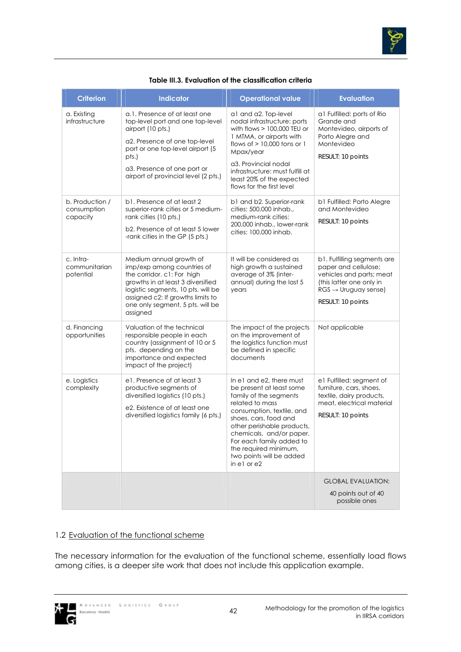

| <b>Criterion</b>                           | Indicator                                                                                                                                                                                                                                           | <b>Operational value</b>                                                                                                                                                                                                                                                                                          | <b>Evaluation</b>                                                                                                                                                   |
|--------------------------------------------|-----------------------------------------------------------------------------------------------------------------------------------------------------------------------------------------------------------------------------------------------------|-------------------------------------------------------------------------------------------------------------------------------------------------------------------------------------------------------------------------------------------------------------------------------------------------------------------|---------------------------------------------------------------------------------------------------------------------------------------------------------------------|
| a. Existing<br>infrastructure              | a.1. Presence of at least one<br>top-level port and one top-level<br>airport (10 pts.)<br>a2. Presence of one top-level<br>port or one top-level airport (5<br>pts.)<br>a3. Presence of one port or<br>airport of provincial level (2 pts.)         | a1 and a2. Top-level<br>nodal infrastructure: ports<br>with flows $> 100,000$ TEU or<br>1 MTMA, or airports with<br>flows of $> 10,000$ tons or 1<br>Mpax/year<br>a3. Provincial nodal<br>infrastructure: must fulfill at<br>least 20% of the expected<br>flows for the first level                               | al Fulfilled: ports of Rio<br>Grande and<br>Montevideo, airports of<br>Porto Alegre and<br>Montevideo<br>RESULT: 10 points                                          |
| b. Production /<br>consumption<br>capacity | b1. Presence of at least 2<br>superior-rank cities or 5 medium-<br>rank cities (10 pts.)<br>b2. Presence of at least 5 lower<br>-rank cities in the GP (5 pts.)                                                                                     | b1 and b2. Superior-rank<br>cities: 500,000 inhab.,<br>medium-rank cities:<br>200,000 inhab., lower-rank<br>cities: 100,000 inhab.                                                                                                                                                                                | b1 Fulfilled: Porto Alegre<br>and Montevideo<br>RESULT: 10 points                                                                                                   |
| c. Intra-<br>communitarian<br>potential    | Medium annual growth of<br>imp/exp among countries of<br>the corridor. c1: For high<br>growths in at least 3 diversified<br>logistic segments, 10 pts. will be<br>assigned c2: If growths limits to<br>one only segment, 5 pts. will be<br>assigned | It will be considered as<br>high growth a sustained<br>average of 3% (inter-<br>annual) during the last 5<br>years                                                                                                                                                                                                | b1. Fulfilling segments are<br>paper and cellulose;<br>vehicles and parts; meat<br>(this latter one only in<br>$RGS \rightarrow Uruguay sense$<br>RESULT: 10 points |
| d. Financing<br>opportunities              | Valuation of the technical<br>responsible people in each<br>country (assignment of 10 or 5<br>pts. depending on the<br>importance and expected<br>impact of the project)                                                                            | The impact of the projects<br>on the improvement of<br>the logistics function must<br>be defined in specific<br>documents                                                                                                                                                                                         | Not applicable                                                                                                                                                      |
| e. Logistics<br>complexity                 | e1. Presence of at least 3<br>productive segments of<br>diversified logistics (10 pts.)<br>e2. Existence of at least one<br>diversified logistics family (6 pts.)                                                                                   | In e1 and e2, there must<br>be present at least some<br>family of the segments<br>related to mass<br>consumption, textile, and<br>shoes, cars, food and<br>other perishable products,<br>chemicals, and/or paper.<br>For each family added to<br>the required minimum,<br>two points will be added<br>in el or e2 | e1 Fulfilled: segment of<br>furniture, cars, shoes,<br>textile, dairy products,<br>meat, electrical material<br>RESULT: 10 points                                   |
|                                            |                                                                                                                                                                                                                                                     |                                                                                                                                                                                                                                                                                                                   | <b>GLOBAL EVALUATION:</b><br>40 points out of 40<br>possible ones                                                                                                   |

#### **Table III.3. Evaluation of the classification criteria**

## 1.2 Evaluation of the functional scheme

The necessary information for the evaluation of the functional scheme, essentially load flows among cities, is a deeper site work that does not include this application example.

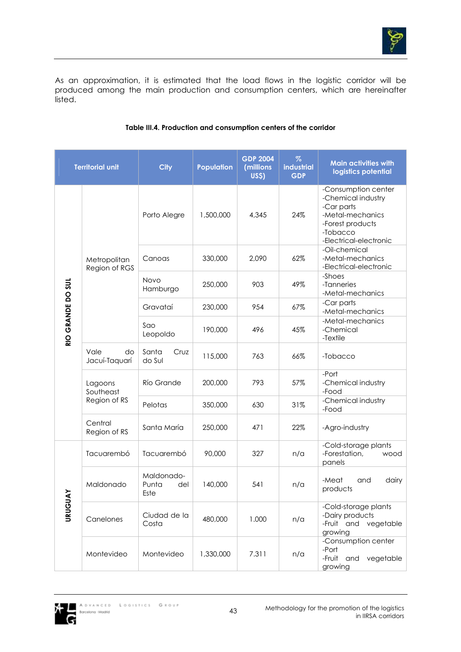

As an approximation, it is estimated that the load flows in the logistic corridor will be produced among the main production and consumption centers, which are hereinafter .<br>listed.

| <b>Territorial unit</b> |                               | <b>City</b>                        | <b>Population</b> | <b>GDP 2004</b><br>(millions)<br>US\$) | $\%$<br>industrial<br><b>GDP</b> | <b>Main activities with</b><br>logistics potential                                                                                    |
|-------------------------|-------------------------------|------------------------------------|-------------------|----------------------------------------|----------------------------------|---------------------------------------------------------------------------------------------------------------------------------------|
|                         |                               | Porto Alegre                       | 1,500,000         | 4,345                                  | 24%                              | -Consumption center<br>-Chemical industry<br>-Car parts<br>-Metal-mechanics<br>-Forest products<br>-Tobacco<br>-Electrical-electronic |
|                         | Metropolitan<br>Region of RGS | Canoas                             | 330,000           | 2,090                                  | 62%                              | -Oil-chemical<br>-Metal-mechanics<br>-Electrical-electronic                                                                           |
| RIO GRANDE DO SUL       |                               | Novo<br>Hamburgo                   | 250,000           | 903                                    | 49%                              | -Shoes<br>-Tanneries<br>-Metal-mechanics                                                                                              |
|                         |                               | Gravataí                           | 230,000           | 954                                    | 67%                              | -Car parts<br>-Metal-mechanics                                                                                                        |
|                         |                               | Sao<br>Leopoldo                    | 190,000           | 496                                    | 45%                              | -Metal-mechanics<br>-Chemical<br>-Textile                                                                                             |
|                         | Vale<br>do<br>Jacuí-Taquarí   | Santa<br>Cruz<br>do Sul            | 115,000           | 763                                    | 66%                              | -Tobacco                                                                                                                              |
|                         | Lagoons<br>Southeast          | Río Grande                         | 200,000           | 793                                    | 57%                              | -Port<br>-Chemical industry<br>-Food                                                                                                  |
|                         | Region of RS                  | Pelotas                            | 350,000           | 630                                    | 31%                              | -Chemical industry<br>-Food                                                                                                           |
|                         | Central<br>Region of RS       | Santa María                        | 250,000           | 471                                    | 22%                              | -Agro-industry                                                                                                                        |
|                         | Tacuarembó                    | Tacuarembó                         | 90,000            | 327                                    | n/a                              | -Cold-storage plants<br>-Forestation,<br>wood<br>panels                                                                               |
| ≿<br><b>URUGU</b>       | Maldonado                     | Maldonado-<br>Punta<br>del<br>Este | 140,000           | 541                                    | n/a                              | -Meat<br>and<br>dairy<br>products                                                                                                     |
|                         | Canelones                     | Ciudad de la<br>Costa              | 480,000           | 1.000                                  | n/a                              | -Cold-storage plants<br>-Dairy products<br>-Fruit and vegetable<br>growing                                                            |
|                         | Montevideo                    | Montevideo                         | 1,330,000         | 7.311                                  | n/a                              | -Consumption center<br>-Port<br>-Fruit and<br>vegetable<br>growing                                                                    |

## **Table III.4. Production and consumption centers of the corridor**

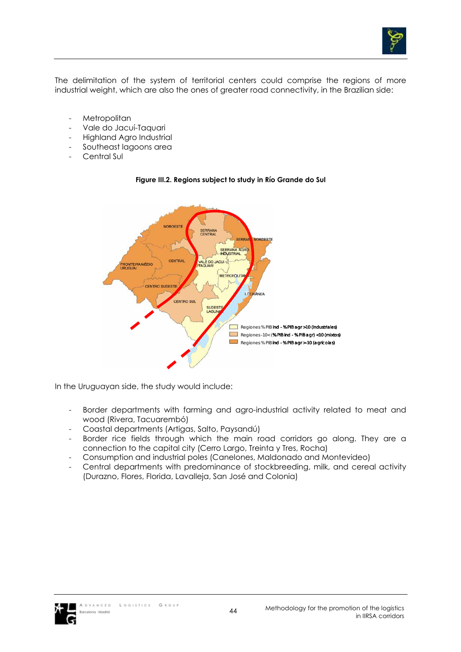

The delimitation of the system of territorial centers could comprise the regions of more industrial weight, which are also the ones of greater road connectivity, in the Brazilian side:

- Metropolitan
- Vale do Jacuí-Taquari
- Highland Agro Industrial
- Southeast lagoons area
- Central Sul



#### **Figure III.2. Regions subject to study in Río Grande do Sul**

In the Uruguayan side, the study would include:

- Border departments with farming and agro-industrial activity related to meat and wood (Rivera, Tacuarembó)
- Coastal departments (Artigas, Salto, Paysandú)
- Border rice fields through which the main road corridors go along. They are a connection to the capital city (Cerro Largo, Treinta y Tres, Rocha)
- Consumption and industrial poles (Canelones, Maldonado and Montevideo)
- Central departments with predominance of stockbreeding, milk, and cereal activity (Durazno, Flores, Florida, Lavalleja, San José and Colonia)

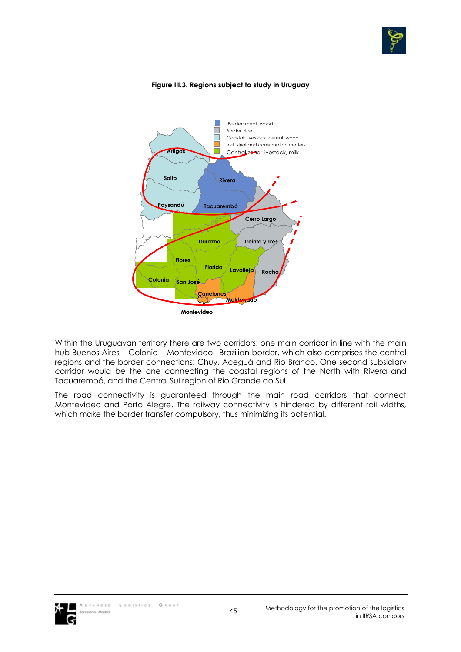

## **Figure III.3. Regions subject to study in Uruguay**



Within the Uruguayan territory there are two corridors: one main corridor in line with the main hub Buenos Aires – Colonia – Montevideo –Brazilian border, which also comprises the central regions and the border connections: Chuy, Aceguá and Río Branco. One second subsidiary corridor would be the one connecting the coastal regions of the North with Rivera and Tacuarembó, and the Central Sul region of Río Grande do Sul.

The road connectivity is guaranteed through the main road corridors that connect Montevideo and Porto Alegre. The railway connectivity is hindered by different rail widths, which make the border transfer compulsory, thus minimizing its potential.

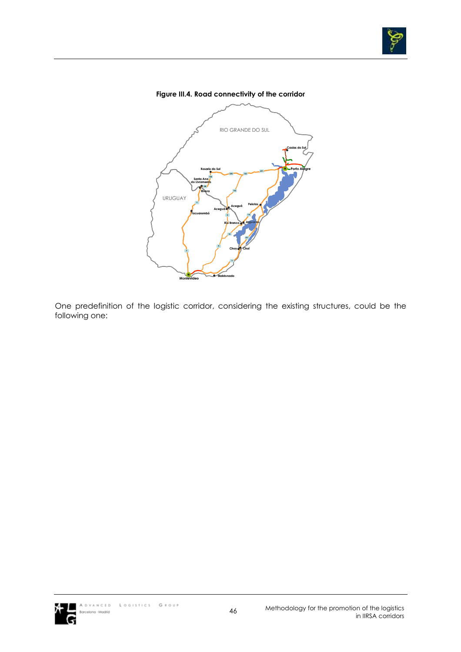

## **Figure III.4. Road connectivity of the corridor**



One predefinition of the logistic corridor, considering the existing structures, could be the following one:

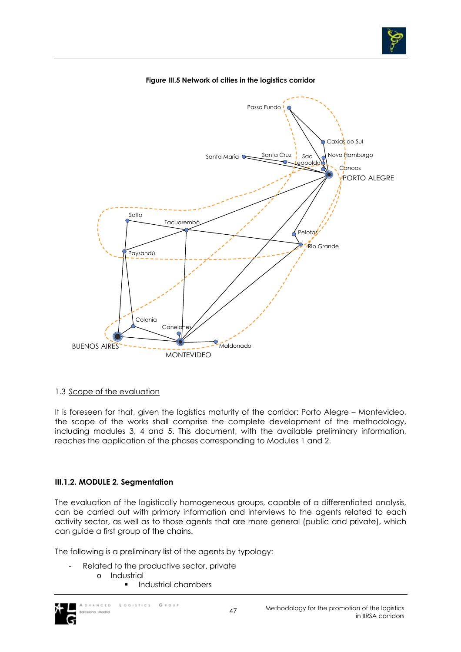



#### **Figure III.5 Network of cities in the logistics corridor**

#### 1.3 Scope of the evaluation

It is foreseen for that, given the logistics maturity of the corridor: Porto Alegre – Montevideo, the scope of the works shall comprise the complete development of the methodology, including modules 3, 4 and 5. This document, with the available preliminary information, reaches the application of the phases corresponding to Modules 1 and 2.

## **III.1.2. MODULE 2. Segmentation**

The evaluation of the logistically homogeneous groups, capable of a differentiated analysis, can be carried out with primary information and interviews to the agents related to each activity sector, as well as to those agents that are more general (public and private), which can guide a first group of the chains.

The following is a preliminary list of the agents by typology:

- Related to the productive sector, private
	- o Industrial
		- Industrial chambers

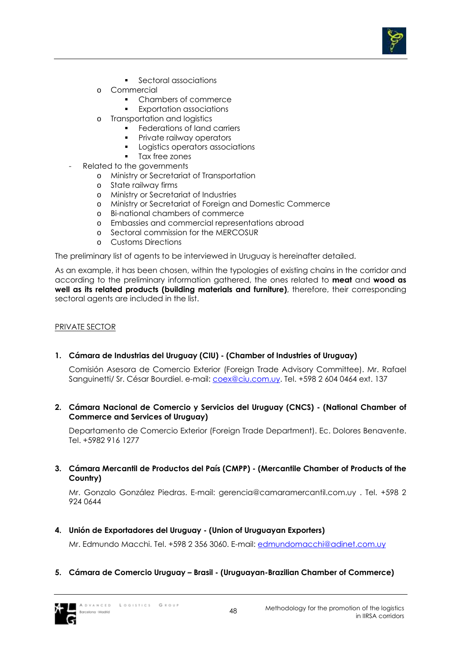

- **Sectoral associations**
- o Commercial
	- Chambers of commerce
	- Exportation associations
- o Transportation and logistics
	- **Federations of land carriers**
	- Private railway operators
	- Logistics operators associations
	- Tax free zones
- Related to the governments
	- o Ministry or Secretariat of Transportation
	- o State railway firms
	- o Ministry or Secretariat of Industries
	- o Ministry or Secretariat of Foreign and Domestic Commerce
	- o Bi-national chambers of commerce
	- o Embassies and commercial representations abroad
	- o Sectoral commission for the MERCOSUR
	- o Customs Directions

The preliminary list of agents to be interviewed in Uruguay is hereinafter detailed.

As an example, it has been chosen, within the typologies of existing chains in the corridor and according to the preliminary information gathered, the ones related to **meat** and **wood as well as its related products (building materials and furniture)**, therefore, their corresponding sectoral agents are included in the list.

## PRIVATE SECTOR

**1. Cámara de Industrias del Uruguay (CIU) - (Chamber of Industries of Uruguay)** 

Comisión Asesora de Comercio Exterior (Foreign Trade Advisory Committee). Mr. Rafael Sanguinetti/ Sr. César Bourdiel. e-mail: coex@ciu.com.uy. Tel. +598 2 604 0464 ext. 137

**2. Cámara Nacional de Comercio y Servicios del Uruguay (CNCS) - (National Chamber of Commerce and Services of Uruguay)** 

Departamento de Comercio Exterior (Foreign Trade Department). Ec. Dolores Benavente. Tel. +5982 916 1277

**3. Cámara Mercantil de Productos del País (CMPP) - (Mercantile Chamber of Products of the Country)** 

Mr. Gonzalo González Piedras. E-mail: gerencia@camaramercantil.com.uy . Tel. +598 2 924 0644

**4. Unión de Exportadores del Uruguay - (Union of Uruguayan Exporters)** 

Mr. Edmundo Macchi. Tel. +598 2 356 3060. E-mail: edmundomacchi@adinet.com.uy

**5. Cámara de Comercio Uruguay – Brasil - (Uruguayan-Brazilian Chamber of Commerce)** 

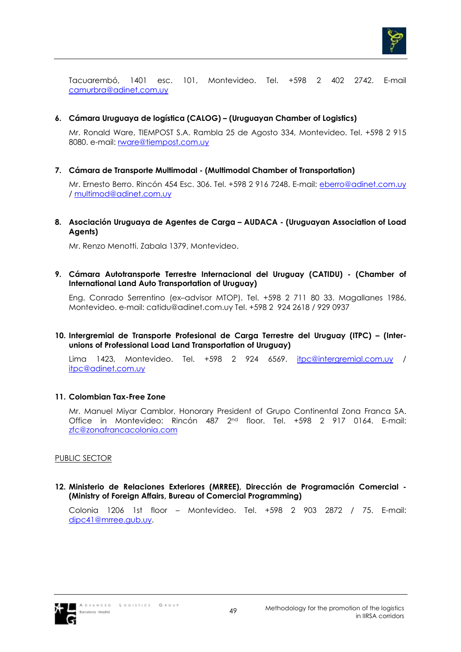

Tacuarembó, 1401 esc. 101, Montevideo. Tel. +598 2 402 2742. E-mail camurbra@adinet.com.uy

**6. Cámara Uruguaya de logística (CALOG) – (Uruguayan Chamber of Logistics)** 

Mr. Ronald Ware, TIEMPOST S.A. Rambla 25 de Agosto 334, Montevideo. Tel. +598 2 915 8080. e-mail: rware@tiempost.com.uy

**7. Cámara de Transporte Multimodal - (Multimodal Chamber of Transportation)** 

Mr. Ernesto Berro. Rincón 454 Esc. 306. Tel. +598 2 916 7248. E-mail: eberro@adinet.com.uy / multimod@adinet.com.uy

**8. Asociación Uruguaya de Agentes de Carga – AUDACA - (Uruguayan Association of Load Agents)** 

Mr. Renzo Menotti. Zabala 1379, Montevideo.

**9. Cámara Autotransporte Terrestre Internacional del Uruguay (CATIDU) - (Chamber of International Land Auto Transportation of Uruguay)** 

Eng. Conrado Serrentino (ex–advisor MTOP). Tel. +598 2 711 80 33. Magallanes 1986, Montevideo. e-mail: catidu@adinet.com.uy Tel. +598 2 924 2618 / 929 0937

**10. Intergremial de Transporte Profesional de Carga Terrestre del Uruguay (ITPC) – (Interunions of Professional Load Land Transportation of Uruguay)** 

Lima 1423, Montevideo. Tel. +598 2 924 6569. itpc@intergremial.com.uy / itpc@adinet.com.uy

## **11. Colombian Tax-Free Zone**

Mr. Manuel Miyar Camblor, Honorary President of Grupo Continental Zona Franca SA. Office in Montevideo: Rincón 487 2nd floor. Tel. +598 2 917 0164. E-mail: zfc@zonafrancacolonia.com

## PUBLIC SECTOR

**12. Ministerio de Relaciones Exteriores (MRREE), Dirección de Programación Comercial - (Ministry of Foreign Affairs, Bureau of Comercial Programming)** 

Colonia 1206 1st floor – Montevideo. Tel. +598 2 903 2872 / 75. E-mail: dipc41@mrree.gub.uy.

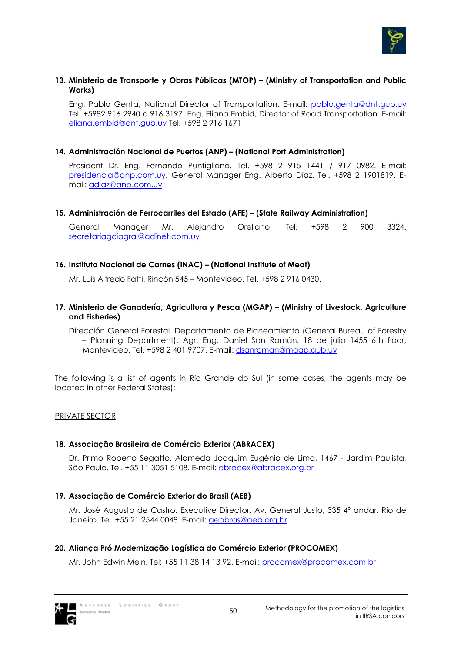

#### **13. Ministerio de Transporte y Obras Públicas (MTOP) – (Ministry of Transportation and Public Works)**

Eng. Pablo Genta, National Director of Transportation. E-mail: pablo.genta@dnt.gub.uy Tel. +5982 916 2940 o 916 3197. Eng. Eliana Embid, Director of Road Transportation. E-mail: eliana.embid@dnt.gub.uy Tel. +598 2 916 1671

## **14. Administración Nacional de Puertos (ANP) – (National Port Administration)**

President Dr. Eng. Fernando Puntigliano. Tel. +598 2 915 1441 / 917 0982. E-mail: presidencia@anp.com.uy. General Manager Eng. Alberto Díaz. Tel. +598 2 1901819. Email: adiaz@anp.com.uy

### **15. Administración de Ferrocarriles del Estado (AFE) – (State Railway Administration)**

General Manager Mr. Alejandro Orellano. Tel. +598 2 900 3324. secretariagciagral@adinet.com.uy

### **16. Instituto Nacional de Carnes (INAC) – (National Institute of Meat)**

Mr. Luis Alfredo Fatti. Rincón 545 – Montevideo. Tel. +598 2 916 0430.

#### **17. Ministerio de Ganadería, Agricultura y Pesca (MGAP) – (Ministry of Livestock, Agriculture and Fisheries)**

Dirección General Forestal. Departamento de Planeamiento (General Bureau of Forestry – Planning Department). Agr. Eng. Daniel San Román. 18 de julio 1455 6th floor, Montevideo. Tel. +598 2 401 9707. E-mail: dsanroman@mgap.gub.uy

The following is a list of agents in Río Grande do Sul (in some cases, the agents may be located in other Federal States):

#### PRIVATE SECTOR

## **18. Associação Brasileira de Comércio Exterior (ABRACEX)**

Dr. Primo Roberto Segatto. Alameda Joaquim Eugênio de Lima, 1467 - Jardim Paulista, São Paulo. Tel. +55 11 3051 5108. E-mail: abracex@abracex.org.br

## **19. Associação de Comércio Exterior do Brasil (AEB)**

Mr. José Augusto de Castro, Executive Director. Av. General Justo, 335 4º andar, Rio de Janeiro. Tel. +55 21 2544 0048. E-mail: aebbras@aeb.org.br

## **20. Aliança Pró Modernização Logística do Comércio Exterior (PROCOMEX)**

Mr. John Edwin Mein. Tel: +55 11 38 14 13 92. E-mail: procomex@procomex.com.br

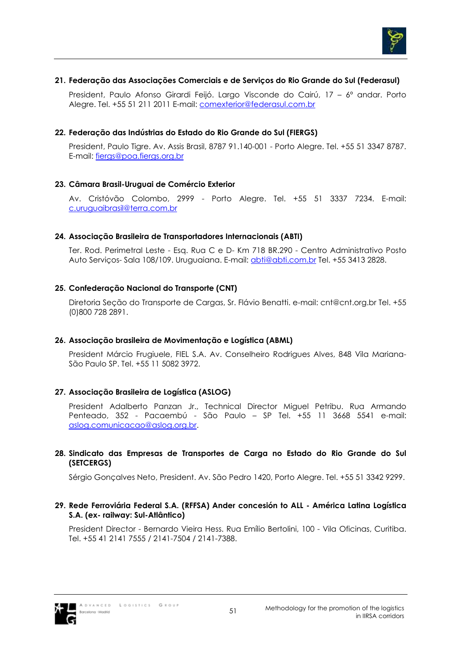

## **21. Federação das Associações Comerciais e de Serviços do Rio Grande do Sul (Federasul)**

President, Paulo Afonso Girardi Feijó. Largo Visconde do Cairú, 17 – 6º andar. Porto Alegre. Tel. +55 51 211 2011 E-mail: comexterior@federasul.com.br

### **22. Federação das Indústrias do Estado do Rio Grande do Sul (FIERGS)**

President, Paulo Tigre. Av. Assis Brasil, 8787 91.140-001 - Porto Alegre. Tel. +55 51 3347 8787. E-mail: fiergs@poa.fiergs.org.br

## **23. Câmara Brasil-Uruguai de Comércio Exterior**

Av. Cristóvão Colombo, 2999 - Porto Alegre. Tel. +55 51 3337 7234. E-mail: c.uruguaibrasil@terra.com.br

### **24. Associação Brasileira de Transportadores Internacionais (ABTI)**

Ter. Rod. Perimetral Leste - Esq. Rua C e D- Km 718 BR.290 - Centro Administrativo Posto Auto Serviços- Sala 108/109. Uruguaiana. E-mail: abti@abti.com.br Tel. +55 3413 2828.

### **25. Confederação Nacional do Transporte (CNT)**

Diretoria Seção do Transporte de Cargas, Sr. Flávio Benatti. e-mail: cnt@cnt.org.br Tel. +55 (0)800 728 2891.

#### **26. Associação brasileira de Movimentação e Logística (ABML)**

President Márcio Frugiuele, FIEL S.A. Av. Conselheiro Rodrigues Alves, 848 Vila Mariana-São Paulo SP. Tel. +55 11 5082 3972.

## **27. Associação Brasileira de Logística (ASLOG)**

President Adalberto Panzan Jr., Technical Director Miguel Petribu. Rua Armando Penteado, 352 - Pacaembú - São Paulo – SP Tel. +55 11 3668 5541 e-mail: aslog.comunicacao@aslog.org.br.

#### **28. Sindicato das Empresas de Transportes de Carga no Estado do Rio Grande do Sul (SETCERGS)**

Sérgio Gonçalves Neto, President. Av. São Pedro 1420, Porto Alegre. Tel. +55 51 3342 9299.

### **29. Rede Ferroviária Federal S.A. (RFFSA) Ander concesión to ALL - América Latina Logística S.A. (ex- railway: Sul-Atlântico)**

President Director - Bernardo Vieira Hess. Rua Emílio Bertolini, 100 - Vila Oficinas, Curitiba. Tel. +55 41 2141 7555 / 2141-7504 / 2141-7388.

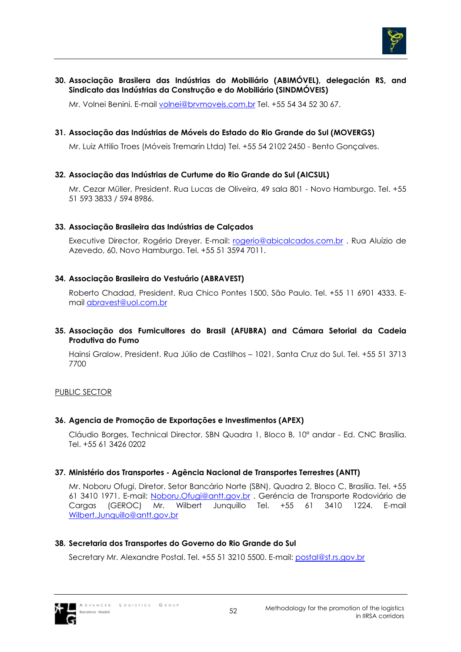

## **30. Associação Brasilera das Indústrias do Mobiliário (ABIMÓVEL), delegación RS, and Sindicato das Indústrias da Construção e do Mobiliário (SINDMÓVEIS)**

Mr. Volnei Benini. E-mail volnei@brvmoveis.com.br Tel. +55 54 34 52 30 67.

## **31. Associação das Indústrias de Móveis do Estado do Rio Grande do Sul (MOVERGS)**

Mr. Luiz Attilio Troes (Móveis Tremarin Ltda) Tel. +55 54 2102 2450 - Bento Gonçalves.

## **32. Associação das Indústrias de Curtume do Rio Grande do Sul (AICSUL)**

Mr. Cezar Müller, President. Rua Lucas de Oliveira, 49 sala 801 - Novo Hamburgo. Tel. +55 51 593 3833 / 594 8986.

### **33. Associação Brasileira das Indústrias de Calçados**

Executive Director, Rogério Dreyer. E-mail: rogerio@abicalcados.com.br . Rua Aluízio de Azevedo, 60, Novo Hamburgo. Tel. +55 51 3594 7011.

## **34. Associação Brasileira do Vestuário (ABRAVEST)**

Roberto Chadad, President. Rua Chico Pontes 1500, São Paulo. Tel. +55 11 6901 4333. Email abravest@uol.com.br

## **35. Associação dos Fumicultores do Brasil (AFUBRA) and Cámara Setorial da Cadeia Produtiva do Fumo**

Hainsi Gralow, President. Rua Júlio de Castilhos – 1021, Santa Cruz do Sul. Tel. +55 51 3713 7700

## PUBLIC SECTOR

## **36. Agencia de Promoção de Exportações e Investimentos (APEX)**

Cláudio Borges, Technical Director. SBN Quadra 1, Bloco B, 10º andar - Ed. CNC Brasília. Tel. +55 61 3426 0202

## **37. Ministério dos Transportes - Agência Nacional de Transportes Terrestres (ANTT)**

Mr. Noboru Ofugi, Diretor. Setor Bancário Norte (SBN), Quadra 2, Bloco C, Brasília. Tel. +55 61 3410 1971. E-mail: Noboru.Ofugi@antt.gov.br . Geréncia de Transporte Rodoviário de Cargas (GEROC) Mr. Wilbert Junquillo Tel. +55 61 3410 1224. E-mail Wilbert.Junquillo@antt.gov.br

## **38. Secretaria dos Transportes do Governo do Rio Grande do Sul**

Secretary Mr. Alexandre Postal. Tel. +55 51 3210 5500. E-mail: postal@st.rs.gov.br

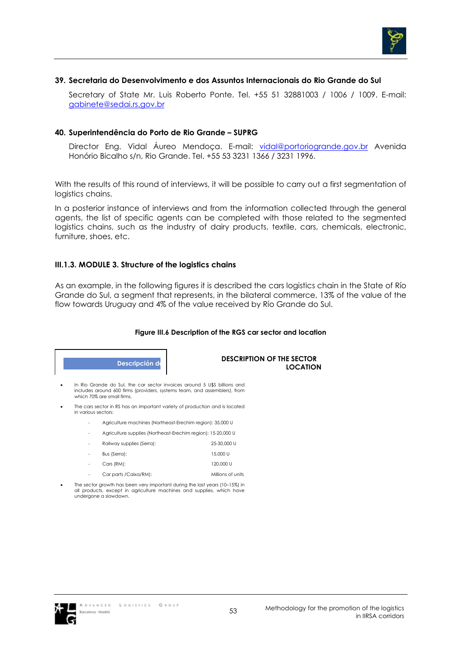

#### **39. Secretaria do Desenvolvimento e dos Assuntos Internacionais do Rio Grande do Sul**

Secretary of State Mr. Luis Roberto Ponte. Tel. +55 51 32881003 / 1006 / 1009. E-mail: gabinete@sedai.rs.gov.br

#### **40. Superintendência do Porto de Rio Grande – SUPRG**

Director Eng. Vidal Áureo Mendoça. E-mail: vidal@portoriogrande.gov.br Avenida Honório Bicalho s/n, Rio Grande. Tel. +55 53 3231 1366 / 3231 1996.

With the results of this round of interviews, it will be possible to carry out a first segmentation of logistics chains.

In a posterior instance of interviews and from the information collected through the general agents, the list of specific agents can be completed with those related to the segmented logistics chains, such as the industry of dairy products, textile, cars, chemicals, electronic, furniture, shoes, etc.

### **III.1.3. MODULE 3. Structure of the logistics chains**

As an example, in the following figures it is described the cars logistics chain in the State of Río Grande do Sul, a segment that represents, in the bilateral commerce, 13% of the value of the flow towards Uruguay and 4% of the value received by Río Grande do Sul.

#### **Figure III.6 Description of the RGS car sector and location**

**Descripción d** 

 **DESCRIPTION OF THE SECTOR LOCATION** 

• In Rio Grande do Sul, the car sector invoices around 5 U\$S billions and includes around 600 firms (providers, systems team, and assemblers), from which 70% are small firms.

- inc cas sector in RS has an important The cars sector in RS has an important variety of production and is located
	- Agriculture machines (Northeast-Erechim region): 35,000 U
	- Agriculture supplies (Northeast-Erechim region): 15-20,000 U
	- Railway supplies (Serra): 25-30,000 U
	- − Omnibus (Serra): Bus (Serra): 15,000 U Automóviles (RM): - Cars (RM): 120,000 U
	- Car parts /Caixa/RM): Millions of units
	- The sector growth has been very important during the last years (10–15%) in
- all products, except in agriculture machines and supplies, which have undergone a slowdown.

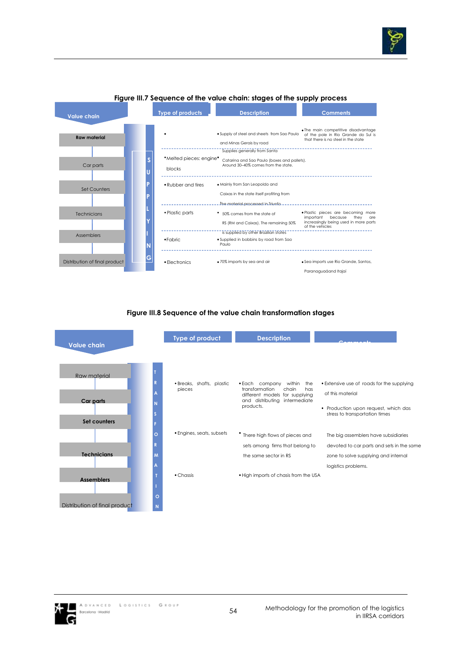



#### **Figure III.7 Sequence of the value chain: stages of the supply process**

#### **Figure III.8 Sequence of the value chain transformation stages**

| <b>Value chain</b>                        |              | Type of product                     | <b>Description</b>                                                                                                                                |                                                                                                                                          |
|-------------------------------------------|--------------|-------------------------------------|---------------------------------------------------------------------------------------------------------------------------------------------------|------------------------------------------------------------------------------------------------------------------------------------------|
| Raw material<br>Car parts<br>Set counters |              | · Breaks, shafts, plastic<br>pieces | • Each company<br>within<br>the<br>transformation<br>chain<br>has<br>different models for supplying<br>and distributing intermediate<br>products. | • Extensive use of roads for the supplying<br>of this material<br>• Production upon request, which das<br>stress to transportation times |
|                                           | O<br>R       | • Engines, seats, subsets           | • There high flows of pieces and                                                                                                                  | The big assemblers have subsidiaries                                                                                                     |
| <b>Technicians</b>                        | M            |                                     | sets among firms that belong to<br>the same sector in RS                                                                                          | devoted to car parts and sets in the same<br>zone to solve supplying and internal<br>logistics problems.                                 |
| <b>Assemblers</b>                         |              | $\bullet$ Chassis                   | . High imports of chasis from the USA                                                                                                             |                                                                                                                                          |
| Distribution of final product             | $\circ$<br>N |                                     |                                                                                                                                                   |                                                                                                                                          |

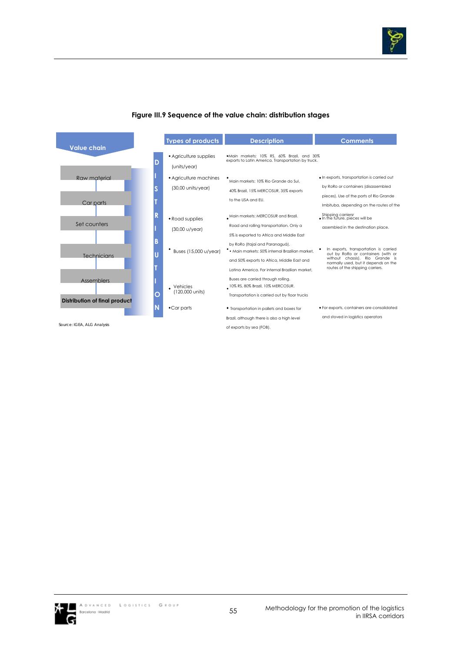

|                                                           |   | <b>Types of products</b>                               | <b>Description</b>                                                                                                                                                                | <b>Comments</b>                                                                                                                                                                            |
|-----------------------------------------------------------|---|--------------------------------------------------------|-----------------------------------------------------------------------------------------------------------------------------------------------------------------------------------|--------------------------------------------------------------------------------------------------------------------------------------------------------------------------------------------|
| <b>Value chain</b>                                        | D | • Agriculture supplies<br>(units/year)                 | .Main markets: 10% RS, 60% Brazil, and 30%<br>exports to Latin America. Transportation by truck.                                                                                  |                                                                                                                                                                                            |
| Raw material<br>Car parts                                 |   | • Agriculture machines<br>$(30,00 \text{ units/year})$ | Main markets: 10% Rio Grande do Sul.<br>40% Brazil, 15% MERCOSUR, 35% exports<br>to the USA and EU.                                                                               | · In exports, transportation is carried out<br>by RoRo or containers (disassembled<br>pieces). Use of the ports of Rio Grande                                                              |
| Set counters                                              | R | • Road supplies<br>(30,00 u/year)                      | . Main markets: MERCOSUR and Brazil.<br>Road and rolling transportation. Only a<br>5% is exported to Africa and Middle East                                                       | Imbituba, depending on the routes of the<br>Shipping carriersr<br>. In the future, pieces will be<br>assembled in the destination place.                                                   |
| Technicians                                               | B | Buses (15,000 u/year)                                  | by RoRo (Itajaí and Paranaguá).<br>* Main markets: 50% internal Brazilian market.<br>and 50% exports to Africa, Middle East and<br>Latina America, For internal Brazilian market, | In exports, transportation is carried<br>out by RoRo or containers (with or<br>without chassis). Rio Grande is<br>normally used, but it depends on the<br>routes of the shipping carriers. |
| <b>Assemblers</b><br><b>Distribution of final product</b> | O | Vehicles<br>(120,000 units)                            | Buses are carried through rolling.<br>10% RS, 80% Brazil, 10% MERCOSUR.<br>Transportation is carried out by floor trucks                                                          |                                                                                                                                                                                            |
| Source: IGEA, ALG Analysis                                |   | $\bullet$ Car parts                                    | • Transportation in pallets and boxes for<br>Brazil, although there is also a high level<br>of exports by sea (FOB).                                                              | · For exports, containers are consolidated<br>and stoved in logistics operators                                                                                                            |

### **Figure III.9 Sequence of the value chain: distribution stages**

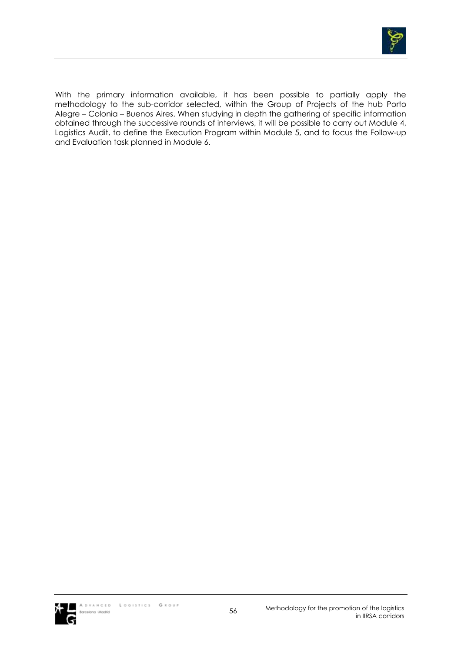

With the primary information available, it has been possible to partially apply the methodology to the sub-corridor selected, within the Group of Projects of the hub Porto Alegre – Colonia – Buenos Aires. When studying in depth the gathering of specific information obtained through the successive rounds of interviews, it will be possible to carry out Module 4, Logistics Audit, to define the Execution Program within Module 5, and to focus the Follow-up and Evaluation task planned in Module 6.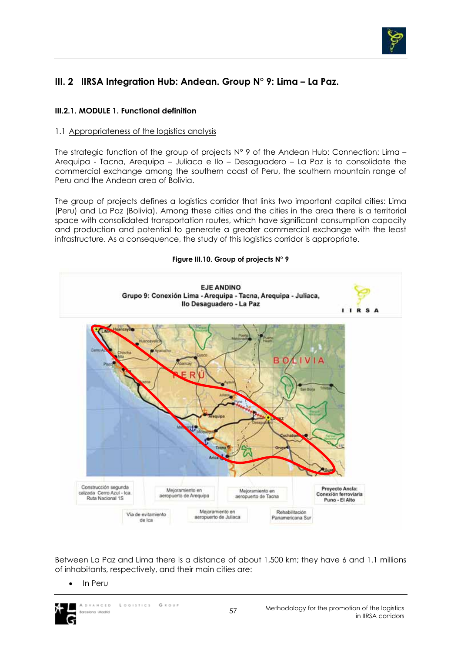

# **III. 2 IIRSA Integration Hub: Andean. Group N° 9: Lima – La Paz.**

# **III.2.1. MODULE 1. Functional definition**

## 1.1 Appropriateness of the logistics analysis

The strategic function of the group of projects N° 9 of the Andean Hub: Connection: Lima – Arequipa - Tacna, Arequipa – Juliaca e Ilo – Desaguadero – La Paz is to consolidate the commercial exchange among the southern coast of Peru, the southern mountain range of Peru and the Andean area of Bolivia.

The group of projects defines a logistics corridor that links two important capital cities: Lima (Peru) and La Paz (Bolivia). Among these cities and the cities in the area there is a territorial space with consolidated transportation routes, which have significant consumption capacity and production and potential to generate a greater commercial exchange with the least infrastructure. As a consequence, the study of this logistics corridor is appropriate.



Between La Paz and Lima there is a distance of about 1,500 km; they have 6 and 1.1 millions of inhabitants, respectively, and their main cities are:

• In Peru



 $G \times O U$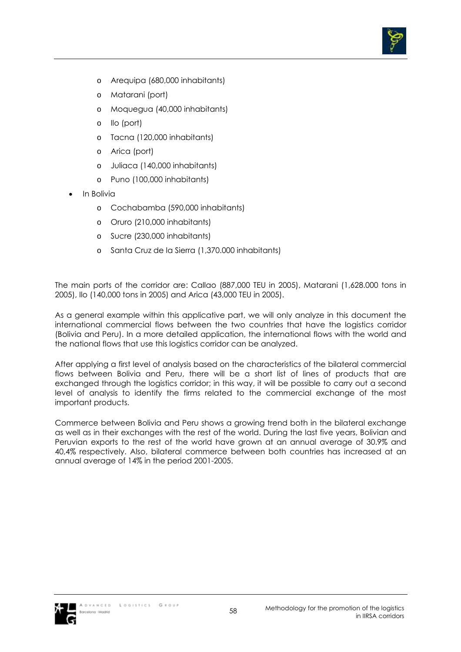

- o Arequipa (680,000 inhabitants)
- o Matarani (port)
- o Moquegua (40,000 inhabitants)
- o Ilo (port)
- o Tacna (120,000 inhabitants)
- o Arica (port)
- o Juliaca (140,000 inhabitants)
- o Puno (100,000 inhabitants)
- In Bolivia
	- o Cochabamba (590,000 inhabitants)
	- o Oruro (210,000 inhabitants)
	- o Sucre (230,000 inhabitants)
	- o Santa Cruz de la Sierra (1,370.000 inhabitants)

The main ports of the corridor are: Callao (887,000 TEU in 2005), Matarani (1,628.000 tons in 2005), Ilo (140,000 tons in 2005) and Arica (43,000 TEU in 2005).

As a general example within this applicative part, we will only analyze in this document the international commercial flows between the two countries that have the logistics corridor (Bolivia and Peru). In a more detailed application, the international flows with the world and the national flows that use this logistics corridor can be analyzed.

After applying a first level of analysis based on the characteristics of the bilateral commercial flows between Bolivia and Peru, there will be a short list of lines of products that are exchanged through the logistics corridor; in this way, it will be possible to carry out a second level of analysis to identify the firms related to the commercial exchange of the most important products.

Commerce between Bolivia and Peru shows a growing trend both in the bilateral exchange as well as in their exchanges with the rest of the world. During the last five years, Bolivian and Peruvian exports to the rest of the world have grown at an annual average of 30.9% and 40,4% respectively. Also, bilateral commerce between both countries has increased at an annual average of 14% in the period 2001-2005.

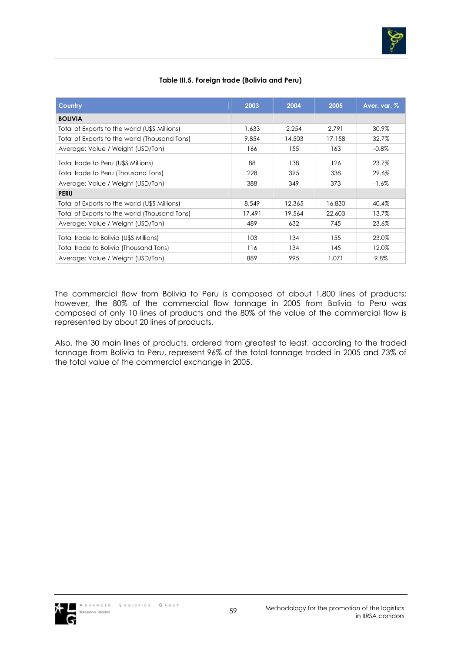

## **Table III.5. Foreign trade (Bolivia and Peru)**

| <b>Country</b>                                | 2003   | 2004   | 2005   | Aver. var. % |
|-----------------------------------------------|--------|--------|--------|--------------|
| <b>BOLIVIA</b>                                |        |        |        |              |
| Total of Exports to the world (U\$S Millions) | 1,633  | 2,254  | 2.791  | 30.9%        |
| Total of Exports to the world (Thousand Tons) | 9,854  | 14,503 | 17,158 | 32.7%        |
| Average: Value / Weight (USD/Ton)             | 166    | 155    | 163    | $-0.8\%$     |
| Total trade to Peru (U\$S Millions)           | 88     | 138    | 126    | 23.7%        |
| Total trade to Peru (Thousand Tons)           | 228    | 395    | 338    | 29.6%        |
| Average: Value / Weight (USD/Ton)             | 388    | 349    | 373    | $-1.6\%$     |
| <b>PERU</b>                                   |        |        |        |              |
| Total of Exports to the world (U\$S Millions) | 8.549  | 12,365 | 16,830 | 40.4%        |
| Total of Exports to the world (Thousand Tons) | 17,491 | 19,564 | 22,603 | 13.7%        |
| Average: Value / Weight (USD/Ton)             | 489    | 632    | 745    | 23.6%        |
| Total trade to Bolivia (U\$S Millions)        | 103    | 134    | 155    | 23.0%        |
| Total trade to Bolivia (Thousand Tons)        | 116    | 134    | 145    | 12.0%        |
| Average: Value / Weight (USD/Ton)             | 889    | 995    | 1.071  | 9.8%         |

The commercial flow from Bolivia to Peru is composed of about 1,800 lines of products; however, the 80% of the commercial flow tonnage in 2005 from Bolivia to Peru was composed of only 10 lines of products and the 80% of the value of the commercial flow is represented by about 20 lines of products.

Also, the 30 main lines of products, ordered from greatest to least, according to the traded tonnage from Bolivia to Peru, represent 96% of the total tonnage traded in 2005 and 73% of the total value of the commercial exchange in 2005.

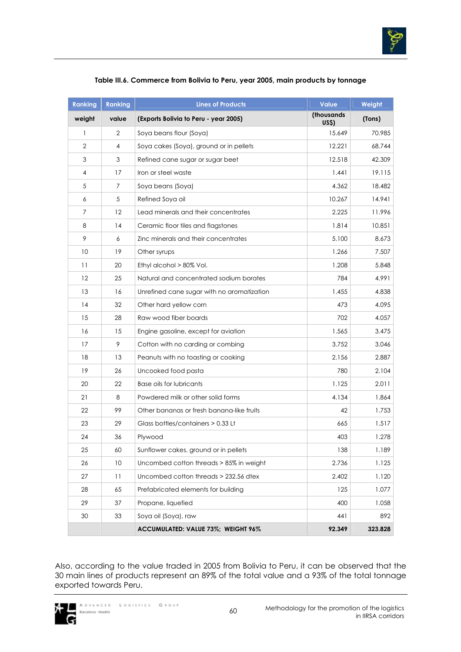

| <b>Ranking</b> | <b>Ranking</b> | <b>Lines of Products</b>                   | <b>Value</b>               | Weight  |
|----------------|----------------|--------------------------------------------|----------------------------|---------|
| weight         | value          | (Exports Bolivia to Peru - year 2005)      | (thousands)<br><b>USS)</b> | (Tons)  |
| $\mathbf{1}$   | 2              | Soya beans flour (Soya)                    | 15.649                     | 70.985  |
| $\overline{2}$ | $\overline{4}$ | Soya cakes (Soya), ground or in pellets    | 12.221                     | 68.744  |
| $\mathfrak 3$  | 3              | Refined cane sugar or sugar beet           | 12.518                     | 42.309  |
| 4              | 17             | Iron or steel waste                        | 1.441                      | 19.115  |
| 5              | 7              | Soya beans (Soya)                          | 4.362                      | 18.482  |
| 6              | 5              | Refined Soya oil                           | 10.267                     | 14.941  |
| 7              | 12             | Lead minerals and their concentrates       | 2.225                      | 11.996  |
| 8              | 14             | Ceramic floor tiles and flagstones         | 1.814                      | 10.851  |
| 9              | 6              | Zinc minerals and their concentrates       | 5.100                      | 8.673   |
| 10             | 19             | Other syrups                               | 1.266                      | 7.507   |
| 11             | 20             | Ethyl alcohol > 80% Vol.                   | 1.208                      | 5.848   |
| 12             | 25             | Natural and concentrated sodium borates    | 784                        | 4.991   |
| 13             | 16             | Unrefined cane sugar with no aromatization | 1.455                      | 4.838   |
| 14             | 32             | Other hard yellow corn                     | 473                        | 4.095   |
| 15             | 28             | Raw wood fiber boards                      | 702                        | 4.057   |
| 16             | 15             | Engine gasoline, except for aviation       | 1.565                      | 3.475   |
| 17             | 9              | Cotton with no carding or combing          | 3.752                      | 3.046   |
| 18             | 13             | Peanuts with no toasting or cooking        | 2.156                      | 2.887   |
| 19             | 26             | Uncooked food pasta                        | 780                        | 2.104   |
| 20             | 22             | Base oils for lubricants                   | 1.125                      | 2.011   |
| 21             | 8              | Powdered milk or other solid forms         | 4.134                      | 1.864   |
| 22             | 99             | Other bananas or fresh banana-like fruits  | 42                         | 1.753   |
| 23             | 29             | Glass bottles/containers > 0.33 Lt         | 665                        | 1.517   |
| 24             | 36             | Plywood                                    | 403                        | 1.278   |
| 25             | 60             | Sunflower cakes, ground or in pellets      | 138                        | 1.189   |
| 26             | 10             | Uncombed cotton threads > 85% in weight    | 2.736                      | 1.125   |
| 27             | 11             | Uncombed cotton threads > 232.56 dtex      | 2.402                      | 1.120   |
| 28             | 65             | Prefabricated elements for building        | 125                        | 1.077   |
| 29             | 37             | Propane, liquefied                         | 400                        | 1.058   |
| 30             | 33             | Soya oil (Soya), raw                       | 441                        | 892     |
|                |                | ACCUMULATED: VALUE 73%; WEIGHT 96%         | 92.349                     | 323.828 |

## **Table III.6. Commerce from Bolivia to Peru, year 2005, main products by tonnage**

Also, according to the value traded in 2005 from Bolivia to Peru, it can be observed that the 30 main lines of products represent an 89% of the total value and a 93% of the total tonnage exported towards Peru.

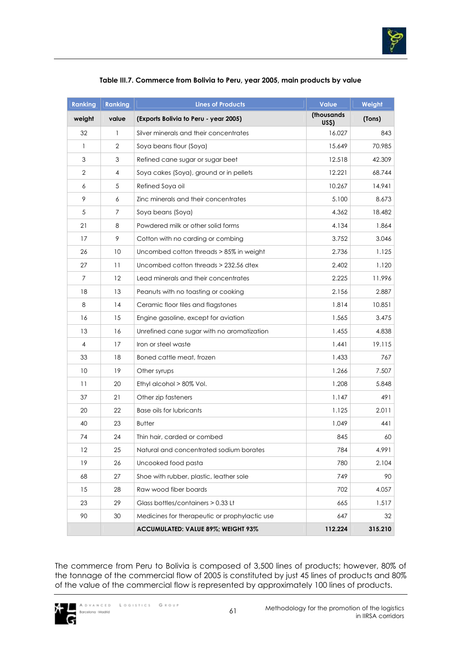

| <b>Ranking</b> | <b>Ranking</b> | <b>Lines of Products</b>                      | <b>Value</b>               | Weight  |
|----------------|----------------|-----------------------------------------------|----------------------------|---------|
| weight         | value          | (Exports Bolivia to Peru - year 2005)         | (thousands<br><b>US\$)</b> | (Tons)  |
| 32             | 1              | Silver minerals and their concentrates        | 16.027                     | 843     |
| $\mathbf{1}$   | $\overline{2}$ | Soya beans flour (Soya)                       | 15.649                     | 70.985  |
| 3              | 3              | Refined cane sugar or sugar beet              | 12.518                     | 42.309  |
| 2              | 4              | Soya cakes (Soya), ground or in pellets       | 12.221                     | 68.744  |
| 6              | 5              | Refined Soya oil                              | 10.267                     | 14.941  |
| 9              | 6              | Zinc minerals and their concentrates          | 5.100                      | 8.673   |
| 5              | 7              | Soya beans (Soya)                             | 4.362                      | 18.482  |
| 21             | 8              | Powdered milk or other solid forms            | 4.134                      | 1.864   |
| 17             | 9              | Cotton with no carding or combing             | 3.752                      | 3.046   |
| 26             | 10             | Uncombed cotton threads > 85% in weight       | 2.736                      | 1.125   |
| 27             | 11             | Uncombed cotton threads > 232.56 dtex         | 2.402                      | 1.120   |
| 7              | 12             | Lead minerals and their concentrates          | 2.225                      | 11.996  |
| 18             | 13             | Peanuts with no toasting or cooking           | 2.156                      | 2.887   |
| 8              | 14             | Ceramic floor tiles and flagstones            | 1.814                      | 10.851  |
| 16             | 15             | Engine gasoline, except for aviation          | 1.565                      | 3.475   |
| 13             | 16             | Unrefined cane sugar with no aromatization    | 1.455                      | 4.838   |
| $\overline{4}$ | 17             | Iron or steel waste                           | 1.441                      | 19.115  |
| 33             | 18             | Boned cattle meat, frozen                     | 1.433                      | 767     |
| 10             | 19             | Other syrups                                  | 1.266                      | 7.507   |
| 11             | 20             | Ethyl alcohol > 80% Vol.                      | 1.208                      | 5.848   |
| 37             | 21             | Other zip fasteners                           | 1.147                      | 491     |
| 20             | 22             | Base oils for lubricants                      | 1.125                      | 2.011   |
| 40             | 23             | <b>Butter</b>                                 | 1.049                      | 441     |
| 74             | 24             | Thin hair, carded or combed                   | 845                        | 60      |
| 12             | 25             | Natural and concentrated sodium borates       | 784                        | 4.991   |
| 19             | 26             | Uncooked food pasta                           | 780                        | 2.104   |
| 68             | 27             | Shoe with rubber, plastic, leather sole       | 749                        | 90      |
| 15             | 28             | Raw wood fiber boards                         | 702                        | 4.057   |
| 23             | 29             | Glass bottles/containers > 0.33 Lt            | 665                        | 1.517   |
| 90             | 30             | Medicines for therapeutic or prophylactic use | 647                        | 32      |
|                |                | ACCUMULATED: VALUE 89%; WEIGHT 93%            | 112.224                    | 315.210 |

## **Table III.7. Commerce from Bolivia to Peru, year 2005, main products by value**

The commerce from Peru to Bolivia is composed of 3,500 lines of products; however, 80% of the tonnage of the commercial flow of 2005 is constituted by just 45 lines of products and 80% of the value of the commercial flow is represented by approximately 100 lines of products.

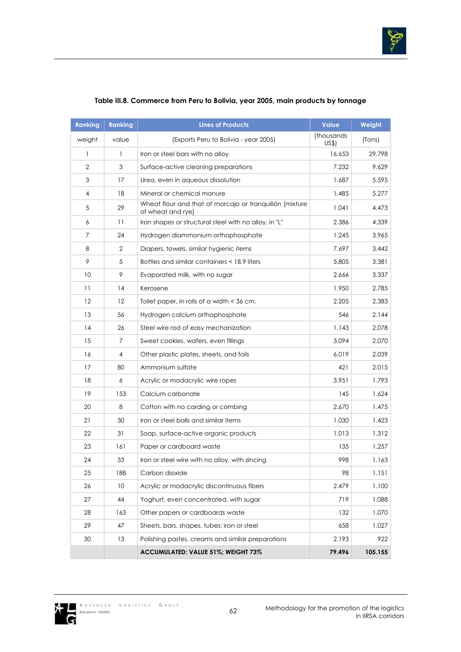

| <b>Ranking</b> | <b>Ranking</b> | <b>Lines of Products</b>                                                      | <b>Value</b>        | Weight  |
|----------------|----------------|-------------------------------------------------------------------------------|---------------------|---------|
| weight         | value          | (Exports Peru to Bolivia - year 2005)                                         | (thousands)<br>US\$ | (Tons)  |
| 1              | 1              | Iron or steel bars with no alloy                                              | 16.653              | 29.798  |
| $\overline{2}$ | 3              | Surface-active cleaning preparations                                          | 7.232               | 9.629   |
| 3              | 17             | Urea, even in aqueous dissolution                                             | 1.687               | 5.595   |
| 4              | 18             | Mineral or chemical manure                                                    | 1.485               | 5.277   |
| 5              | 29             | Wheat flour and that of morcajo or tranquillón [mixture]<br>of wheat and ryel | 1.041               | 4.473   |
| 6              | 11             | Iron shapes or structural steel with no alloy, in "L"                         | 2.386               | 4.339   |
| $\overline{7}$ | 24             | Hydrogen diammonium orthophosphate                                            | 1.245               | 3.965   |
| 8              | $\overline{2}$ | Diapers, towels, similar hygienic items                                       | 7.697               | 3.442   |
| 9              | 5              | Bottles and similar containers < 18.9 liters                                  | 5.805               | 3.381   |
| 10             | 9              | Evaporated milk, with no sugar                                                | 2.666               | 3.337   |
| 11             | 14             | Kerosene                                                                      | 1.950               | 2.785   |
| 12             | 12             | Toilet paper, in rolls of a width < 36 cm.                                    | 2.205               | 2.383   |
| 13             | 56             | Hydrogen calcium orthophosphate                                               | 546                 | 2.144   |
| 14             | 26             | Steel wire rod of easy mechanization                                          | 1.143               | 2.078   |
| 15             | $\overline{7}$ | Sweet cookies, wafers, even fillings                                          | 3.094               | 2.070   |
| 16             | 4              | Other plastic plates, sheets, and foils                                       | 6.019               | 2.039   |
| 17             | 80             | Ammonium sulfate                                                              | 421                 | 2.015   |
| 18             | 6              | Acrylic or modacrylic wire ropes                                              | 3.951               | 1.793   |
| 19             | 153            | Calcium carbonate                                                             | 145                 | 1.624   |
| 20             | 8              | Cotton with no carding or combing                                             | 2.670               | 1.475   |
| 21             | 30             | Iron or steel balls and similar items                                         | 1.030               | 1.423   |
| 22             | 31             | Soap, surface-active organic products                                         | 1.013               | 1.312   |
| 23             | 161            | Paper or cardboard waste                                                      | 135                 | 1.257   |
| 24             | 33             | Iron or steel wire with no alloy, with zincing                                | 998                 | 1.163   |
| 25             | 188            | Carbon dioxide                                                                | 98                  | 1.151   |
| 26             | 10             | Acrylic or modacrylic discontinuous fibers                                    | 2.479               | 1.100   |
| 27             | 44             | Yoghurt, even concentrated, with sugar                                        | 719                 | 1.088   |
| 28             | 163            | Other papers or cardboards waste                                              | 132                 | 1.070   |
| 29             | 47             | Sheets, bars, shapes, tubes; iron or steel                                    | 658                 | 1.027   |
| 30             | 13             | Polishing pastes, creams and similar preparations                             | 2.193               | 922     |
|                |                | ACCUMULATED: VALUE 51%; WEIGHT 73%                                            | 79.496              | 105.155 |

## **Table III.8. Commerce from Peru to Bolivia, year 2005, main products by tonnage**

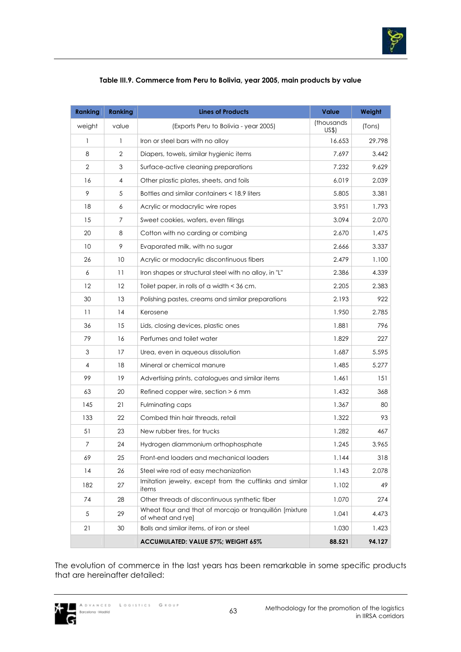

| <b>Ranking</b> | <b>Ranking</b> | <b>Lines of Products</b>                                                     | <b>Value</b>        | Weight |
|----------------|----------------|------------------------------------------------------------------------------|---------------------|--------|
| weight         | value          | (Exports Peru to Bolivia - year 2005)                                        | (thousands)<br>US\$ | (Tons) |
| $\mathbf{1}$   | 1              | Iron or steel bars with no alloy                                             | 16.653              | 29.798 |
| 8              | 2              | Diapers, towels, similar hygienic items                                      | 7.697               | 3.442  |
| $\overline{2}$ | 3              | Surface-active cleaning preparations                                         | 7.232               | 9.629  |
| 16             | 4              | Other plastic plates, sheets, and foils                                      | 6.019               | 2.039  |
| 9              | 5              | Bottles and similar containers < 18.9 liters                                 | 5.805               | 3.381  |
| 18             | 6              | Acrylic or modacrylic wire ropes                                             | 3.951               | 1.793  |
| 15             | 7              | Sweet cookies, wafers, even fillings                                         | 3.094               | 2.070  |
| 20             | 8              | Cotton with no carding or combing                                            | 2.670               | 1,475  |
| 10             | 9              | Evaporated milk, with no sugar                                               | 2.666               | 3.337  |
| 26             | 10             | Acrylic or modacrylic discontinuous fibers                                   | 2.479               | 1.100  |
| 6              | 11             | Iron shapes or structural steel with no alloy, in "L"                        | 2.386               | 4.339  |
| 12             | 12             | Toilet paper, in rolls of a width < 36 cm.                                   | 2.205               | 2.383  |
| 30             | 13             | Polishing pastes, creams and similar preparations                            | 2.193               | 922    |
| 11             | 14             | Kerosene                                                                     | 1.950               | 2.785  |
| 36             | 15             | Lids, closing devices, plastic ones                                          | 1.881               | 796    |
| 79             | 16             | Perfumes and toilet water                                                    | 1.829               | 227    |
| 3              | 17             | Urea, even in aqueous dissolution                                            | 1.687               | 5.595  |
| 4              | 18             | Mineral or chemical manure                                                   | 1.485               | 5.277  |
| 99             | 19             | Advertising prints, catalogues and similar items                             | 1.461               | 151    |
| 63             | 20             | Refined copper wire, section $> 6$ mm                                        | 1.432               | 368    |
| 145            | 21             | Fulminating caps                                                             | 1.367               | 80     |
| 133            | 22             | Combed thin hair threads, retail                                             | 1.322               | 93     |
| 51             | 23             | New rubber tires, for trucks                                                 | 1.282               | 467    |
| $\overline{7}$ | 24             | Hydrogen diammonium orthophosphate                                           | 1.245               | 3.965  |
| 69             | 25             | Front-end loaders and mechanical loaders                                     | 1.144               | 318    |
| 14             | 26             | Steel wire rod of easy mechanization                                         | 1.143               | 2.078  |
| 182            | 27             | Imitation jewelry, except from the cufflinks and similar<br>items            | 1.102               | 49     |
| 74             | 28             | Other threads of discontinuous synthetic fiber                               | 1.070               | 274    |
| 5              | 29             | Wheat flour and that of morcajo or tranquillón [mixture<br>of wheat and rye] | 1.041               | 4.473  |
| 21             | 30             | Balls and similar items, of iron or steel                                    | 1.030               | 1.423  |
|                |                | ACCUMULATED: VALUE 57%; WEIGHT 65%                                           | 88.521              | 94.127 |

The evolution of commerce in the last years has been remarkable in some specific products that are hereinafter detailed:

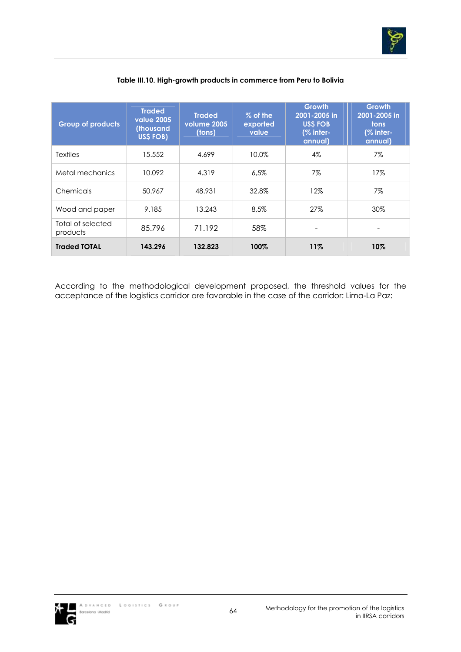

| <b>Group of products</b>      | <b>Traded</b><br><b>value 2005</b><br>(thousand<br>US\$ FOB) | <b>Traded</b><br>volume 2005<br>(tons) | % of the<br>exported<br>value | <b>Growth</b><br>2001-2005 in<br><b>USS FOB</b><br>$(%$ inter-<br>annual) | <b>Growth</b><br>2001-2005 in<br><b>tons</b><br>(% inter-<br>annual) |
|-------------------------------|--------------------------------------------------------------|----------------------------------------|-------------------------------|---------------------------------------------------------------------------|----------------------------------------------------------------------|
| <b>Textiles</b>               | 15.552                                                       | 4.699                                  | 10.0%                         | $4\%$                                                                     | 7%                                                                   |
| Metal mechanics               | 10.092                                                       | 4.319                                  | 6.5%                          | 7%                                                                        | 17%                                                                  |
| Chemicals                     | 50.967                                                       | 48.931                                 | 32.8%                         | 12%                                                                       | 7%                                                                   |
| Wood and paper                | 9.185                                                        | 13.243                                 | 8.5%                          | 27%                                                                       | 30%                                                                  |
| Total of selected<br>products | 85.796                                                       | 71.192                                 | 58%                           |                                                                           |                                                                      |
| <b>Traded TOTAL</b>           | 143.296                                                      | 132.823                                | 100%                          | 11%                                                                       | 10%                                                                  |

## **Table III.10. High-growth products in commerce from Peru to Bolivia**

According to the methodological development proposed, the threshold values for the acceptance of the logistics corridor are favorable in the case of the corridor: Lima-La Paz:

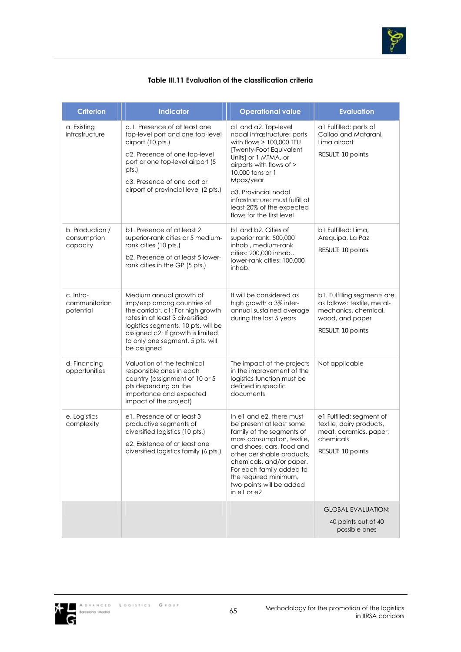

#### **Table III.11 Evaluation of the classification criteria**

| <b>Criterion</b>                           | <b>Indicator</b>                                                                                                                                                                                                                                             | <b>Operational value</b>                                                                                                                                                                                                                                                                                               | <b>Evaluation</b>                                                                                                          |
|--------------------------------------------|--------------------------------------------------------------------------------------------------------------------------------------------------------------------------------------------------------------------------------------------------------------|------------------------------------------------------------------------------------------------------------------------------------------------------------------------------------------------------------------------------------------------------------------------------------------------------------------------|----------------------------------------------------------------------------------------------------------------------------|
| a. Existing<br>infrastructure              | a.1. Presence of at least one<br>top-level port and one top-level<br>airport (10 pts.)<br>a2. Presence of one top-level<br>port or one top-level airport (5<br>pts.)<br>a3. Presence of one port or<br>airport of provincial level (2 pts.)                  | a1 and a2. Top-level<br>nodal infrastructure: ports<br>with flows $> 100,000$ TEU<br>[Twenty-Foot Equivalent<br>Units] or 1 MTMA, or<br>airports with flows of ><br>10,000 tons or 1<br>Mpax/year<br>a3. Provincial nodal<br>infrastructure: must fulfill at<br>least 20% of the expected<br>flows for the first level | al Fulfilled: ports of<br>Callao and Matarani,<br>Lima airport<br>RESULT: 10 points                                        |
| b. Production /<br>consumption<br>capacity | b1. Presence of at least 2<br>superior-rank cities or 5 medium-<br>rank cities (10 pts.)<br>b2. Presence of at least 5 lower-<br>rank cities in the GP (5 pts.)                                                                                              | b1 and b2. Cities of<br>superior rank: 500,000<br>inhab., medium-rank<br>cities: 200,000 inhab.,<br>lower-rank cities: 100,000<br>inhab.                                                                                                                                                                               | b1 Fulfilled: Lima,<br>Arequipa, La Paz<br>RESULT: 10 points                                                               |
| c. Intra-<br>communitarian<br>potential    | Medium annual growth of<br>imp/exp among countries of<br>the corridor. c1: For high growth<br>rates in at least 3 diversified<br>logistics segments, 10 pts. will be<br>assigned c2: If growth is limited<br>to only one segment, 5 pts. will<br>be assigned | It will be considered as<br>high growth a 3% inter-<br>annual sustained average<br>during the last 5 years                                                                                                                                                                                                             | b1. Fulfilling segments are<br>as follows: textile, metal-<br>mechanics, chemical,<br>wood, and paper<br>RESULT: 10 points |
| d. Financing<br>opportunities              | Valuation of the technical<br>responsible ones in each<br>country (assignment of 10 or 5<br>pts depending on the<br>importance and expected<br>impact of the project)                                                                                        | The impact of the projects<br>in the improvement of the<br>logistics function must be<br>defined in specific<br>documents                                                                                                                                                                                              | Not applicable                                                                                                             |
| e. Logistics<br>complexity                 | e1. Presence of at least 3<br>productive segments of<br>diversified logistics (10 pts.)<br>e2. Existence of at least one<br>diversified logistics family (6 pts.)                                                                                            | In e1 and e2, there must<br>be present at least some<br>family of the segments of<br>mass consumption, textile,<br>and shoes, cars, food and<br>other perishable products,<br>chemicals, and/or paper.<br>For each family added to<br>the required minimum,<br>two points will be added<br>in e1 or e2                 | e1 Fulfilled: segment of<br>textile, dairy products,<br>meat, ceramics, paper,<br>chemicals<br>RESULT: 10 points           |
|                                            |                                                                                                                                                                                                                                                              |                                                                                                                                                                                                                                                                                                                        | <b>GLOBAL EVALUATION:</b><br>40 points out of 40<br>possible ones                                                          |

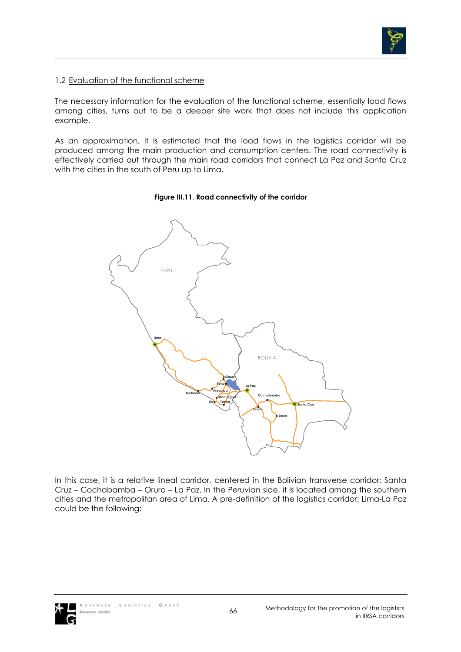

### 1.2 Evaluation of the functional scheme

The necessary information for the evaluation of the functional scheme, essentially load flows among cities, turns out to be a deeper site work that does not include this application example.

As an approximation, it is estimated that the load flows in the logistics corridor will be produced among the main production and consumption centers. The road connectivity is effectively carried out through the main road corridors that connect La Paz and Santa Cruz with the cities in the south of Peru up to Lima.

#### **Figure III.11. Road connectivity of the corridor**



In this case, it is a relative lineal corridor, centered in the Bolivian transverse corridor: Santa Cruz – Cochabamba – Oruro – La Paz. In the Peruvian side, it is located among the southern cities and the metropolitan area of Lima. A pre-definition of the logistics corridor: Lima-La Paz could be the following:

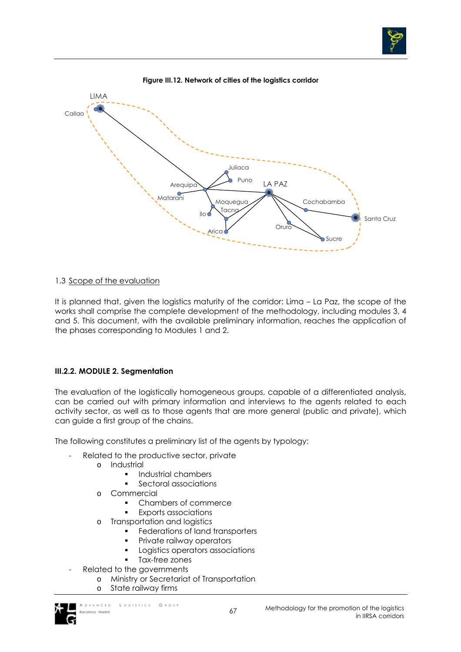

## 1.3 Scope of the evaluation

It is planned that, given the logistics maturity of the corridor: Lima – La Paz, the scope of the works shall comprise the complete development of the methodology, including modules 3, 4 and 5. This document, with the available preliminary information, reaches the application of the phases corresponding to Modules 1 and 2.

## **III.2.2. MODULE 2. Segmentation**

The evaluation of the logistically homogeneous groups, capable of a differentiated analysis, can be carried out with primary information and interviews to the agents related to each activity sector, as well as to those agents that are more general (public and private), which can guide a first group of the chains.

The following constitutes a preliminary list of the agents by typology:

- Related to the productive sector, private
	- o Industrial
		- **Industrial chambers** 
			- Sectoral associations
	- o Commercial
		- Chambers of commerce
		- Exports associations
	- o Transportation and logistics
		- Federations of land transporters
		- Private railway operators
		- Logistics operators associations
		- Tax-free zones
- Related to the governments
	- o Ministry or Secretariat of Transportation
		- o State railway firms

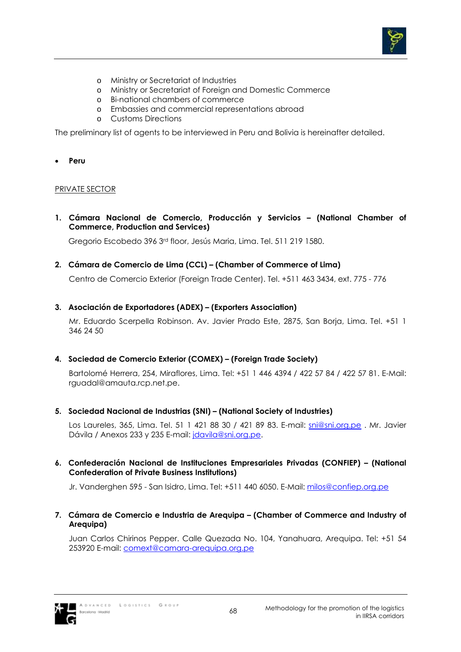

- o Ministry or Secretariat of Industries
- o Ministry or Secretariat of Foreign and Domestic Commerce
- o Bi-national chambers of commerce
- o Embassies and commercial representations abroad
- o Customs Directions

The preliminary list of agents to be interviewed in Peru and Bolivia is hereinafter detailed.

• **Peru**

### PRIVATE SECTOR

**1. Cámara Nacional de Comercio, Producción y Servicios – (National Chamber of Commerce, Production and Services)** 

Gregorio Escobedo 396 3rd floor, Jesús Maria, Lima. Tel. 511 219 1580.

**2. Cámara de Comercio de Lima (CCL) – (Chamber of Commerce of Lima)** 

Centro de Comercio Exterior (Foreign Trade Center). Tel. +511 463 3434, ext. 775 - 776

**3. Asociación de Exportadores (ADEX) – (Exporters Association)** 

Mr. Eduardo Scerpella Robinson. Av. Javier Prado Este, 2875, San Borja, Lima. Tel. +51 1 346 24 50

**4. Sociedad de Comercio Exterior (COMEX) – (Foreign Trade Society)** 

Bartolomé Herrera, 254, Miraflores, Lima. Tel: +51 1 446 4394 / 422 57 84 / 422 57 81. E-Mail: rguadal@amauta.rcp.net.pe.

**5. Sociedad Nacional de Industrias (SNI) – (National Society of Industries)** 

Los Laureles, 365, Lima. Tel. 51 1 421 88 30 / 421 89 83. E-mail: sni@sni.org.pe . Mr. Javier Dávila / Anexos 233 y 235 E-mail: jdavila@sni.org.pe.

**6. Confederación Nacional de Instituciones Empresariales Privadas (CONFIEP) – (National Confederation of Private Business Institutions)** 

Jr. Vanderghen 595 - San Isidro, Lima. Tel: +511 440 6050. E-Mail: milos@confiep.org.pe

**7. Cámara de Comercio e Industria de Arequipa – (Chamber of Commerce and Industry of Arequipa)** 

Juan Carlos Chirinos Pepper. Calle Quezada No. 104, Yanahuara, Arequipa. Tel: +51 54 253920 E-mail: comext@camara-arequipa.org.pe

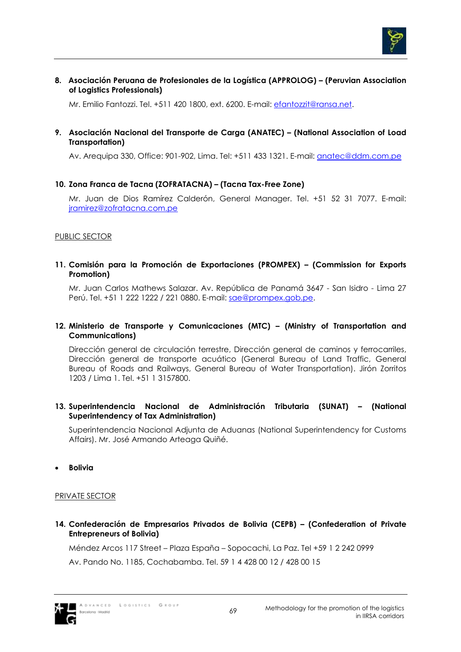

**8. Asociación Peruana de Profesionales de la Logística (APPROLOG) – (Peruvian Association of Logistics Professionals)** 

Mr. Emilio Fantozzi. Tel. +511 420 1800, ext. 6200. E-mail: efantozzit@ransa.net.

**9. Asociación Nacional del Transporte de Carga (ANATEC) – (National Association of Load Transportation)** 

Av. Arequipa 330, Office: 901-902, Lima. Tel: +511 433 1321. E-mail: anatec@ddm.com.pe

## **10. Zona Franca de Tacna (ZOFRATACNA) – (Tacna Tax-Free Zone)**

Mr. Juan de Dios Ramírez Calderón, General Manager. Tel. +51 52 31 7077. E-mail: jramirez@zofratacna.com.pe

#### PUBLIC SECTOR

#### **11. Comisión para la Promoción de Exportaciones (PROMPEX) – (Commission for Exports Promotion)**

Mr. Juan Carlos Mathews Salazar. Av. República de Panamá 3647 - San Isidro - Lima 27 Perú. Tel. +51 1 222 1222 / 221 0880. E-mail: sae@prompex.gob.pe.

## **12. Ministerio de Transporte y Comunicaciones (MTC) – (Ministry of Transportation and Communications)**

Dirección general de circulación terrestre, Dirección general de caminos y ferrocarriles, Dirección general de transporte acuático (General Bureau of Land Traffic, General Bureau of Roads and Railways, General Bureau of Water Transportation). Jirón Zorritos 1203 / Lima 1. Tel. +51 1 3157800.

### **13. Superintendencia Nacional de Administración Tributaria (SUNAT) – (National Superintendency of Tax Administration)**

Superintendencia Nacional Adjunta de Aduanas (National Superintendency for Customs Affairs). Mr. José Armando Arteaga Quiñé.

• **Bolivia**

#### PRIVATE SECTOR

**14. Confederación de Empresarios Privados de Bolivia (CEPB) – (Confederation of Private Entrepreneurs of Bolivia)** 

Méndez Arcos 117 Street – Plaza España – Sopocachi, La Paz. Tel +59 1 2 242 0999

Av. Pando No. 1185, Cochabamba. Tel. 59 1 4 428 00 12 / 428 00 15

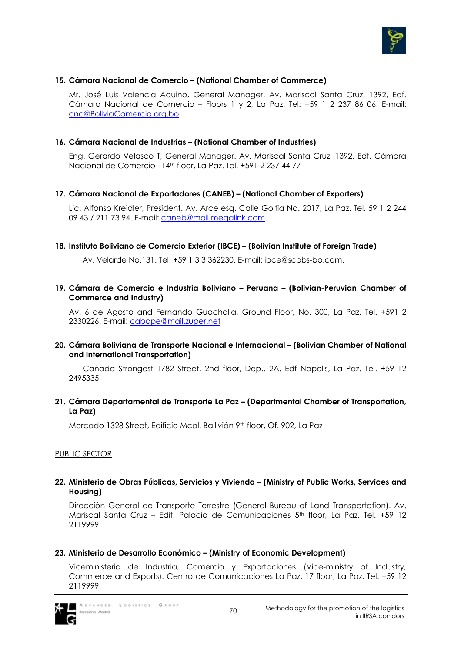

## **15. Cámara Nacional de Comercio – (National Chamber of Commerce)**

Mr. José Luis Valencia Aquino, General Manager. Av. Mariscal Santa Cruz, 1392, Edf. Cámara Nacional de Comercio – Floors 1 y 2, La Paz. Tel: +59 1 2 237 86 06. E-mail: cnc@BoliviaComercio.org.bo

### **16. Cámara Nacional de Industrias – (National Chamber of Industries)**

Eng. Gerardo Velasco T, General Manager. Av. Mariscal Santa Cruz, 1392. Edf. Cámara Nacional de Comercio –14th floor, La Paz. Tel. +591 2 237 44 77

### **17. Cámara Nacional de Exportadores (CANEB) – (National Chamber of Exporters)**

Lic. Alfonso Kreidler, President. Av. Arce esq. Calle Goitia No. 2017, La Paz. Tel. 59 1 2 244 09 43 / 211 73 94. E-mail: caneb@mail.megalink.com.

#### **18. Instituto Boliviano de Comercio Exterior (IBCE) – (Bolivian Institute of Foreign Trade)**

Av. Velarde No.131. Tel. +59 1 3 3 362230. E-mail: ibce@scbbs-bo.com.

### **19. Cámara de Comercio e Industria Boliviano – Peruana – (Bolivian-Peruvian Chamber of Commerce and Industry)**

Av. 6 de Agosto and Fernando Guachalla, Ground Floor, No. 300, La Paz. Tel. +591 2 2330226. E-mail: cabope@mail.zuper.net

#### **20. Cámara Boliviana de Transporte Nacional e Internacional – (Bolivian Chamber of National and International Transportation)**

Cañada Strongest 1782 Street, 2nd floor, Dep.. 2A. Edf Napolis, La Paz. Tel. +59 12 2495335

### **21. Cámara Departamental de Transporte La Paz – (Departmental Chamber of Transportation, La Paz)**

Mercado 1328 Street, Edificio Mcal. Ballivián 9th floor, Of. 902, La Paz

#### PUBLIC SECTOR

### **22. Ministerio de Obras Públicas, Servicios y Vivienda – (Ministry of Public Works, Services and Housing)**

Dirección General de Transporte Terrestre (General Bureau of Land Transportation). Av. Mariscal Santa Cruz – Edif. Palacio de Comunicaciones 5th floor, La Paz. Tel. +59 12 2119999

## **23. Ministerio de Desarrollo Económico – (Ministry of Economic Development)**

Viceministerio de Industria, Comercio y Exportaciones (Vice-ministry of Industry, Commerce and Exports). Centro de Comunicaciones La Paz, 17 floor, La Paz. Tel. +59 12 2119999